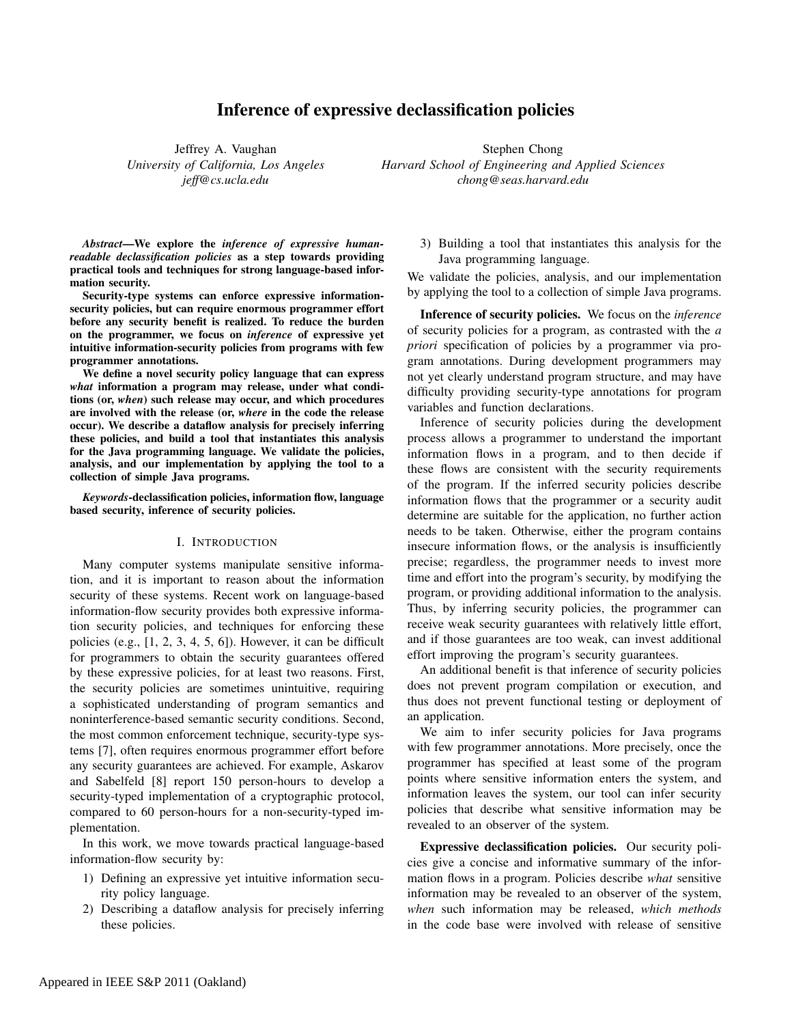# Inference of expressive declassification policies

Jeffrey A. Vaughan *University of California, Los Angeles jeff@cs.ucla.edu*

Stephen Chong *Harvard School of Engineering and Applied Sciences chong@seas.harvard.edu*

*Abstract*—We explore the *inference of expressive humanreadable declassification policies* as a step towards providing practical tools and techniques for strong language-based information security.

Security-type systems can enforce expressive informationsecurity policies, but can require enormous programmer effort before any security benefit is realized. To reduce the burden on the programmer, we focus on *inference* of expressive yet intuitive information-security policies from programs with few programmer annotations.

We define a novel security policy language that can express *what* information a program may release, under what conditions (or, *when*) such release may occur, and which procedures are involved with the release (or, *where* in the code the release occur). We describe a dataflow analysis for precisely inferring these policies, and build a tool that instantiates this analysis for the Java programming language. We validate the policies, analysis, and our implementation by applying the tool to a collection of simple Java programs.

*Keywords*-declassification policies, information flow, language based security, inference of security policies.

# I. INTRODUCTION

Many computer systems manipulate sensitive information, and it is important to reason about the information security of these systems. Recent work on language-based information-flow security provides both expressive information security policies, and techniques for enforcing these policies (e.g., [1, 2, 3, 4, 5, 6]). However, it can be difficult for programmers to obtain the security guarantees offered by these expressive policies, for at least two reasons. First, the security policies are sometimes unintuitive, requiring a sophisticated understanding of program semantics and noninterference-based semantic security conditions. Second, the most common enforcement technique, security-type systems [7], often requires enormous programmer effort before any security guarantees are achieved. For example, Askarov and Sabelfeld [8] report 150 person-hours to develop a security-typed implementation of a cryptographic protocol, compared to 60 person-hours for a non-security-typed implementation.

In this work, we move towards practical language-based information-flow security by:

- 1) Defining an expressive yet intuitive information security policy language.
- 2) Describing a dataflow analysis for precisely inferring these policies.

3) Building a tool that instantiates this analysis for the Java programming language.

We validate the policies, analysis, and our implementation by applying the tool to a collection of simple Java programs.

Inference of security policies. We focus on the *inference* of security policies for a program, as contrasted with the *a priori* specification of policies by a programmer via program annotations. During development programmers may not yet clearly understand program structure, and may have difficulty providing security-type annotations for program variables and function declarations.

Inference of security policies during the development process allows a programmer to understand the important information flows in a program, and to then decide if these flows are consistent with the security requirements of the program. If the inferred security policies describe information flows that the programmer or a security audit determine are suitable for the application, no further action needs to be taken. Otherwise, either the program contains insecure information flows, or the analysis is insufficiently precise; regardless, the programmer needs to invest more time and effort into the program's security, by modifying the program, or providing additional information to the analysis. Thus, by inferring security policies, the programmer can receive weak security guarantees with relatively little effort, and if those guarantees are too weak, can invest additional effort improving the program's security guarantees.

An additional benefit is that inference of security policies does not prevent program compilation or execution, and thus does not prevent functional testing or deployment of an application.

We aim to infer security policies for Java programs with few programmer annotations. More precisely, once the programmer has specified at least some of the program points where sensitive information enters the system, and information leaves the system, our tool can infer security policies that describe what sensitive information may be revealed to an observer of the system.

Expressive declassification policies. Our security policies give a concise and informative summary of the information flows in a program. Policies describe *what* sensitive information may be revealed to an observer of the system, *when* such information may be released, *which methods* in the code base were involved with release of sensitive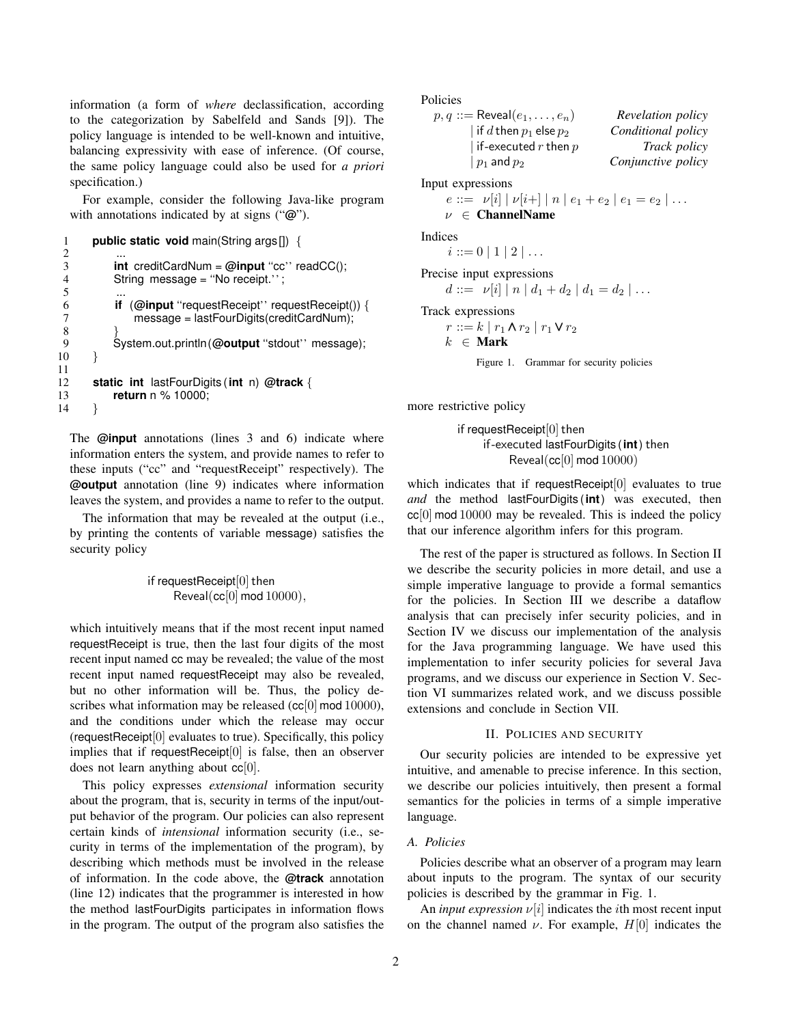information (a form of *where* declassification, according to the categorization by Sabelfeld and Sands [9]). The policy language is intended to be well-known and intuitive, balancing expressivity with ease of inference. (Of course, the same policy language could also be used for *a priori* specification.)

For example, consider the following Java-like program with annotations indicated by at signs ("**@**").

```
1 public static void main(String args[]) {
 2 ...
3 int creditCardNum = @input ''cc'' readCC();
4 String message = "No receipt.";<br>5 ...
 5 ...
6 if (@input ''requestReceipt'' requestReceipt()) {
             message = lastFourDigits(creditCardNum);
 8 }
9 System.out.println (@output "stdout'' message);<br>
0 }
10 }
\frac{11}{12}12 static int lastFourDigits (int n) @track {
13 return n % 10000;
14 }
```
The **@input** annotations (lines 3 and 6) indicate where information enters the system, and provide names to refer to these inputs ("cc" and "requestReceipt" respectively). The **@output** annotation (line 9) indicates where information leaves the system, and provides a name to refer to the output.

The information that may be revealed at the output (i.e., by printing the contents of variable message) satisfies the security policy

> if requestReceipt $[0]$  then Reveal(cc[0] mod 10000),

which intuitively means that if the most recent input named requestReceipt is true, then the last four digits of the most recent input named cc may be revealed; the value of the most recent input named requestReceipt may also be revealed, but no other information will be. Thus, the policy describes what information may be released ( $cc[0]$  mod 10000), and the conditions under which the release may occur (requestReceipt[0] evaluates to true). Specifically, this policy implies that if requestReceipt[0] is false, then an observer does not learn anything about  $cc[0]$ .

This policy expresses *extensional* information security about the program, that is, security in terms of the input/output behavior of the program. Our policies can also represent certain kinds of *intensional* information security (i.e., security in terms of the implementation of the program), by describing which methods must be involved in the release of information. In the code above, the **@track** annotation (line 12) indicates that the programmer is interested in how the method lastFourDigits participates in information flows in the program. The output of the program also satisfies the Policies

```
p, q ::= Reveal(e_1, \ldots, e_n) Revelation policy
      | if d then p_1 else p_2 Conditional policy
      | if-executed r then p Track policy
      | p1 and p2 Conjunctive policy
```
Input expressions

$$
e ::= \nu[i] | \nu[i+] | n | e_1 + e_2 | e_1 = e_2 | \dots
$$
  
 $\nu \in \text{ChannelName}$ 

Indices

Precise input expressions  
\n
$$
d ::= \nu[i] | n | d_1 + d_2 | d_1 = d_2 | \dots
$$

Track expressions

 $r ::= k | r_1 \wedge r_2 | r_1 \vee r_2$  $k \in$  Mark

 $i ::= 0 | 1 | 2 | \dots$ 

Figure 1. Grammar for security policies

more restrictive policy

if requestReceipt $[0]$  then if-executed lastFourDigits (**int**) then Reveal(cc[0] mod 10000)

which indicates that if requestReceipt<sup>[0]</sup> evaluates to true *and* the method lastFourDigits (**int**) was executed, then  $cc[0]$  mod 10000 may be revealed. This is indeed the policy that our inference algorithm infers for this program.

The rest of the paper is structured as follows. In Section II we describe the security policies in more detail, and use a simple imperative language to provide a formal semantics for the policies. In Section III we describe a dataflow analysis that can precisely infer security policies, and in Section IV we discuss our implementation of the analysis for the Java programming language. We have used this implementation to infer security policies for several Java programs, and we discuss our experience in Section V. Section VI summarizes related work, and we discuss possible extensions and conclude in Section VII.

# II. POLICIES AND SECURITY

Our security policies are intended to be expressive yet intuitive, and amenable to precise inference. In this section, we describe our policies intuitively, then present a formal semantics for the policies in terms of a simple imperative language.

# *A. Policies*

Policies describe what an observer of a program may learn about inputs to the program. The syntax of our security policies is described by the grammar in Fig. 1.

An *input expression*  $\nu[i]$  indicates the *i*th most recent input on the channel named  $\nu$ . For example,  $H[0]$  indicates the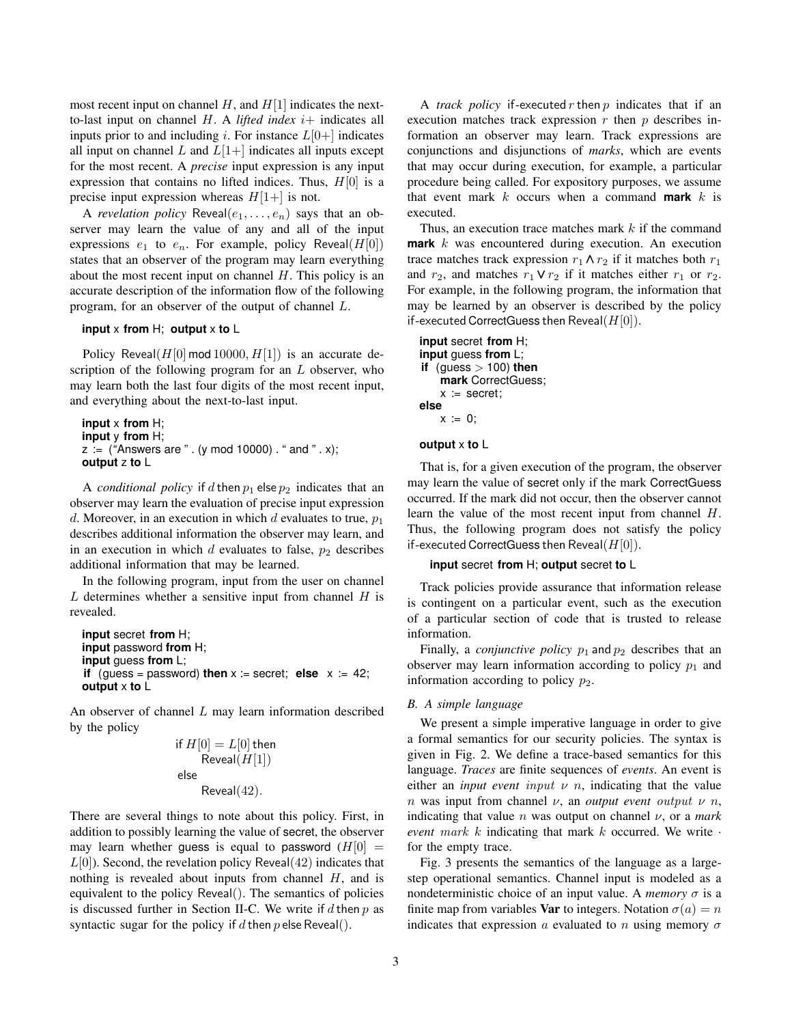most recent input on channel  $H$ , and  $H[1]$  indicates the nextto-last input on channel  $H$ . A *lifted index*  $i$ + indicates all inputs prior to and including *i*. For instance  $L[0+]$  indicates all input on channel L and  $L[1+]$  indicates all inputs except for the most recent. A *precise* input expression is any input expression that contains no lifted indices. Thus,  $H[0]$  is a precise input expression whereas  $H[1+]$  is not.

A *revelation policy* Reveal $(e_1, \ldots, e_n)$  says that an observer may learn the value of any and all of the input expressions  $e_1$  to  $e_n$ . For example, policy Reveal( $H[0]$ ) states that an observer of the program may learn everything about the most recent input on channel  $H$ . This policy is an accurate description of the information flow of the following program, for an observer of the output of channel L.

# **input** x **from** H; **output** x **to** L

Policy Reveal( $H[0]$  mod 10000,  $H[1]$ ) is an accurate description of the following program for an  $L$  observer, who may learn both the last four digits of the most recent input, and everything about the next-to-last input.

```
input x from H;
input y from H;
z := ("Answers are " . (y mod 10000) . " and " . x);
output z to L
```
A *conditional policy* if d then  $p_1$  else  $p_2$  indicates that an observer may learn the evaluation of precise input expression d. Moreover, in an execution in which d evaluates to true,  $p_1$ describes additional information the observer may learn, and in an execution in which  $d$  evaluates to false,  $p_2$  describes additional information that may be learned.

In the following program, input from the user on channel  $L$  determines whether a sensitive input from channel  $H$  is revealed.

```
input secret from H;
input password from H;
input guess from L;
if (guess = password) then x := secret; else x := 42;
output x to L
```
An observer of channel  $L$  may learn information described by the policy

if 
$$
H[0] = L[0]
$$
 then  
Reveal $(H[1])$   
else  
Reveal $(42)$ .

There are several things to note about this policy. First, in addition to possibly learning the value of secret, the observer may learn whether guess is equal to password  $(H[0] =$  $L[0]$ ). Second, the revelation policy Reveal $(42)$  indicates that nothing is revealed about inputs from channel  $H$ , and is equivalent to the policy Reveal(). The semantics of policies is discussed further in Section II-C. We write if  $d$  then  $p$  as syntactic sugar for the policy if d then  $p$  else Reveal().

A *track policy* if-executed  $r$  then  $p$  indicates that if an execution matches track expression  $r$  then  $p$  describes information an observer may learn. Track expressions are conjunctions and disjunctions of *marks*, which are events that may occur during execution, for example, a particular procedure being called. For expository purposes, we assume that event mark  $k$  occurs when a command **mark**  $k$  is executed.

Thus, an execution trace matches mark  $k$  if the command **mark** k was encountered during execution. An execution trace matches track expression  $r_1 \wedge r_2$  if it matches both  $r_1$ and  $r_2$ , and matches  $r_1 \vee r_2$  if it matches either  $r_1$  or  $r_2$ . For example, in the following program, the information that may be learned by an observer is described by the policy if-executed CorrectGuess then Reveal( $H[0]$ ).

```
input secret from H;
input guess from L;
if (guess > 100) then
   mark CorrectGuess;
   x := secret;
else
   x := 0;
```
# **output** x **to** L

That is, for a given execution of the program, the observer may learn the value of secret only if the mark CorrectGuess occurred. If the mark did not occur, then the observer cannot learn the value of the most recent input from channel H. Thus, the following program does not satisfy the policy if-executed CorrectGuess then Reveal( $H[0]$ ).

### **input** secret **from** H; **output** secret **to** L

Track policies provide assurance that information release is contingent on a particular event, such as the execution of a particular section of code that is trusted to release information.

Finally, a *conjunctive policy*  $p_1$  and  $p_2$  describes that an observer may learn information according to policy  $p_1$  and information according to policy  $p_2$ .

# *B. A simple language*

We present a simple imperative language in order to give a formal semantics for our security policies. The syntax is given in Fig. 2. We define a trace-based semantics for this language. *Traces* are finite sequences of *events*. An event is either an *input event input*  $\nu$  *n*, indicating that the value n was input from channel  $\nu$ , an *output event output*  $\nu$  *n*, indicating that value *n* was output on channel  $\nu$ , or a *mark event* mark k indicating that mark k occurred. We write · for the empty trace.

Fig. 3 presents the semantics of the language as a largestep operational semantics. Channel input is modeled as a nondeterministic choice of an input value. A *memory*  $\sigma$  is a finite map from variables **Var** to integers. Notation  $\sigma(a) = n$ indicates that expression a evaluated to n using memory  $\sigma$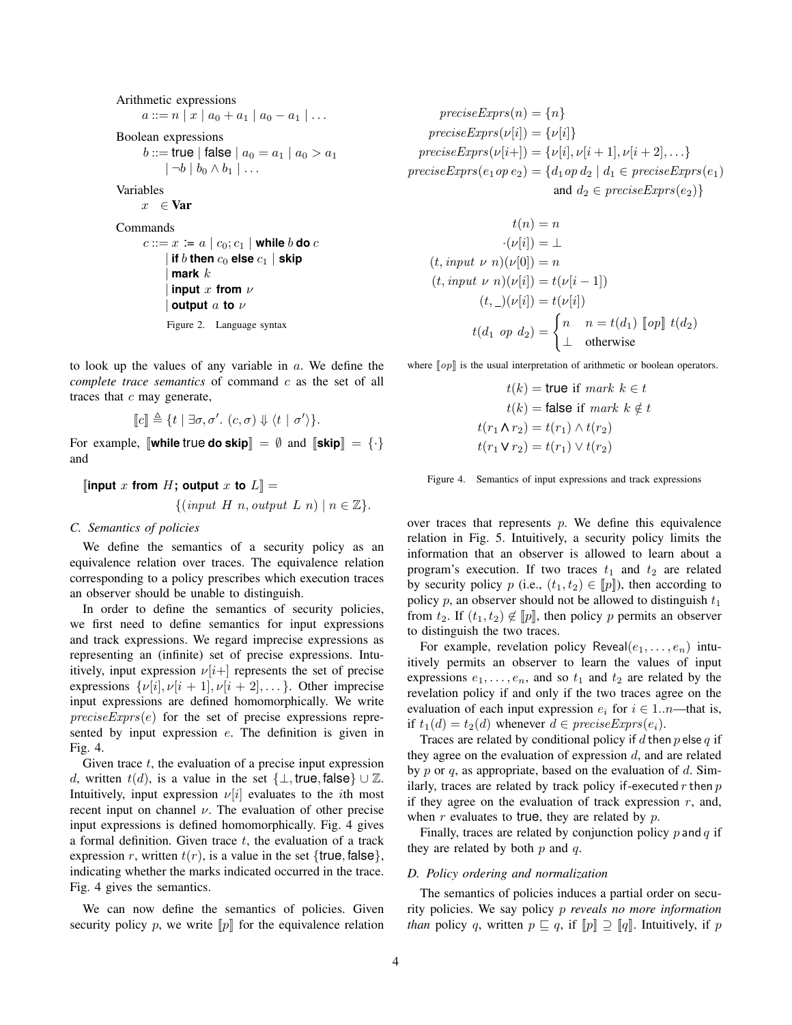Arithmetic expressions  $a ::= n | x | a_0 + a_1 | a_0 - a_1 | \dots$ Boolean expressions *b* ::= true | false |  $a_0 = a_1 \mid a_0 > a_1$  $|\neg b \mid b_0 \wedge b_1 | \dots$ Variables  $x \in \textbf{Var}$ Commands  $c ::= x := a \mid c_0; c_1 \mid$  while b **do** c  $|$  if  $b$  then  $c_0$  else  $c_1$   $|$  skip | **mark** k  $\lim_{x \to 0}$  **input** x **from**  $\nu$ | **output** a **to** ν Figure 2. Language syntax

to look up the values of any variable in  $a$ . We define the *complete trace semantics* of command c as the set of all traces that  $c$  may generate,

 $\llbracket c \rrbracket \triangleq \{ t \mid \exists \sigma, \sigma'. \ (c, \sigma) \Downarrow \langle t \mid \sigma' \rangle \}.$ 

For example,  $\llbracket \textbf{while true do skip} \rrbracket = \emptyset$  and  $\llbracket \textbf{skip} \rrbracket = \{\cdot\}$ and

 $\left[\text{input } x \text{ from } H; \text{ output } x \text{ to } L\right] =$  $\{(input H n, output L n) | n \in \mathbb{Z}\}.$ 

# *C. Semantics of policies*

We define the semantics of a security policy as an equivalence relation over traces. The equivalence relation corresponding to a policy prescribes which execution traces an observer should be unable to distinguish.

In order to define the semantics of security policies, we first need to define semantics for input expressions and track expressions. We regard imprecise expressions as representing an (infinite) set of precise expressions. Intuitively, input expression  $\nu[i+]$  represents the set of precise expressions  $\{\nu[i], \nu[i+1], \nu[i+2], \ldots\}$ . Other imprecise input expressions are defined homomorphically. We write  $preciseExpress(e)$  for the set of precise expressions represented by input expression e. The definition is given in Fig. 4.

Given trace  $t$ , the evaluation of a precise input expression d, written  $t(d)$ , is a value in the set  $\{\perp, \text{true}, \text{false}\} \cup \mathbb{Z}$ . Intuitively, input expression  $\nu[i]$  evaluates to the *i*th most recent input on channel  $\nu$ . The evaluation of other precise input expressions is defined homomorphically. Fig. 4 gives a formal definition. Given trace  $t$ , the evaluation of a track expression r, written  $t(r)$ , is a value in the set {true, false}, indicating whether the marks indicated occurred in the trace. Fig. 4 gives the semantics.

We can now define the semantics of policies. Given security policy p, we write  $\llbracket p \rrbracket$  for the equivalence relation

 $preciseExpress(n) = \{n\}$  $preciseExpress(\nu[i]) = {\nu[i]}$  $preciseExpress(\nu[i+] ) = {\nu[i], \nu[i+1], \nu[i+2], \ldots}$  $preciseExpress(e_1 \circ pe_2) = \{d_1 \circ pe_1 \mid d_1 \in preciseExpress(e_1)$ and  $d_2 \in preciseExpress(e_2)$ 

$$
t(n) = n
$$

$$
\cdot (\nu[i]) = \bot
$$

$$
(t, input \ \nu \ n)(\nu[0]) = n
$$

$$
(t, input \ \nu \ n)(\nu[i]) = t(\nu[i-1])
$$

$$
(t, \_)(\nu[i]) = t(\nu[i])
$$

$$
t(d_1 \ op \ d_2) = \begin{cases} n & n = t(d_1) \ [op] \ t(d_2) \\ \bot & \text{otherwise} \end{cases}
$$

where  $[op]$  is the usual interpretation of arithmetic or boolean operators.

 $t(k)$  = true if mark  $k \in t$  $t(k)$  = false if mark  $k \notin t$  $t(r_1 \Lambda r_2) = t(r_1) \Lambda t(r_2)$  $t(r_1 \vee r_2) = t(r_1) \vee t(r_2)$ 

Figure 4. Semantics of input expressions and track expressions

over traces that represents  $p$ . We define this equivalence relation in Fig. 5. Intuitively, a security policy limits the information that an observer is allowed to learn about a program's execution. If two traces  $t_1$  and  $t_2$  are related by security policy p (i.e.,  $(t_1, t_2) \in [p]$ ), then according to policy p, an observer should not be allowed to distinguish  $t_1$ from  $t_2$ . If  $(t_1, t_2) \notin [p]$ , then policy p permits an observer to distinguish the two traces.

For example, revelation policy Reveal $(e_1, \ldots, e_n)$  intuitively permits an observer to learn the values of input expressions  $e_1, \ldots, e_n$ , and so  $t_1$  and  $t_2$  are related by the revelation policy if and only if the two traces agree on the evaluation of each input expression  $e_i$  for  $i \in 1..n$ —that is, if  $t_1(d) = t_2(d)$  whenever  $d \in preciseExpress(e_i)$ .

Traces are related by conditional policy if d then  $p$  else  $q$  if they agree on the evaluation of expression  $d$ , and are related by p or q, as appropriate, based on the evaluation of  $d$ . Similarly, traces are related by track policy if-executed  $r$  then  $p$ if they agree on the evaluation of track expression  $r$ , and, when  $r$  evaluates to true, they are related by  $p$ .

Finally, traces are related by conjunction policy  $p$  and  $q$  if they are related by both  $p$  and  $q$ .

### *D. Policy ordering and normalization*

The semantics of policies induces a partial order on security policies. We say policy p *reveals no more information than* policy q, written  $p \subseteq q$ , if  $[p] \supseteq [q]$ . Intuitively, if p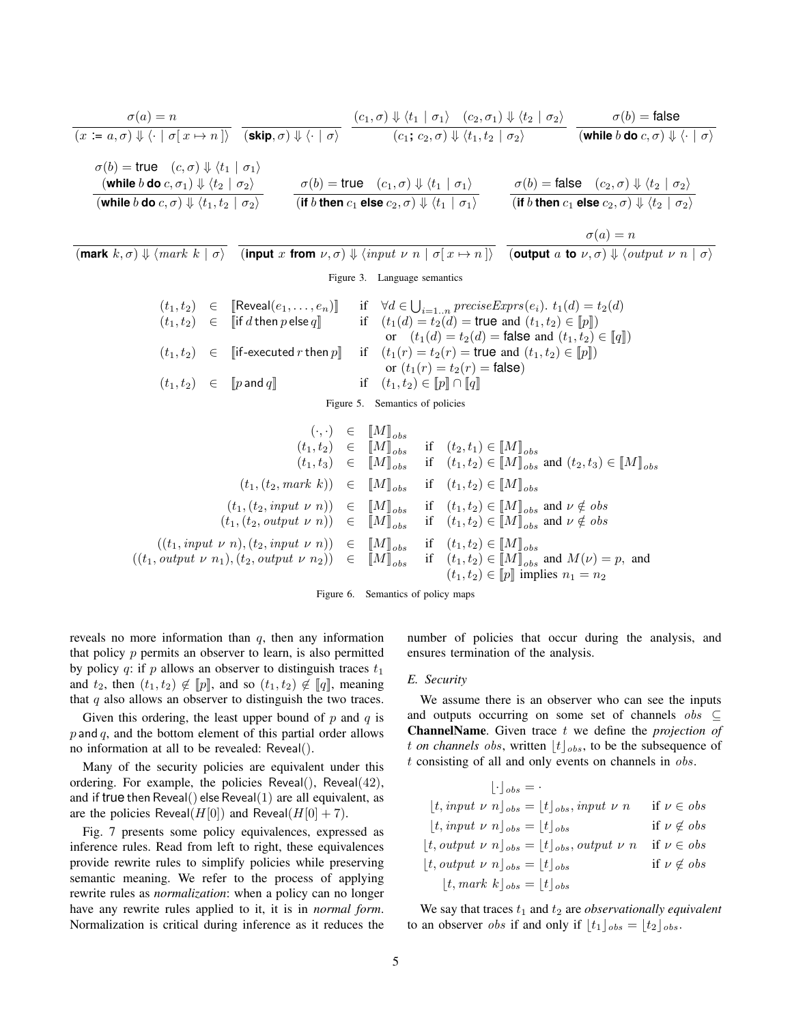$$
\frac{\sigma(a) = n}{(x := a, \sigma) \Downarrow \langle \cdot \mid \sigma[x \mapsto n] \rangle} \quad \frac{(c_1, \sigma) \Downarrow \langle t_1 \mid \sigma_1 \rangle \quad (c_2, \sigma_1) \Downarrow \langle t_2 \mid \sigma_2 \rangle}{(c_1; c_2, \sigma) \Downarrow \langle t_1, t_2 \mid \sigma_2 \rangle} \quad \frac{\sigma(b) = \text{false}}{(\text{while } b \text{ do } c, \sigma) \Downarrow \langle \cdot \mid \sigma \rangle}
$$
\n
$$
\frac{\sigma(b) = \text{true} \quad (c, \sigma) \Downarrow \langle t_1 \mid \sigma_1 \rangle}{(\text{while } b \text{ do } c, \sigma_1) \Downarrow \langle t_2 \mid \sigma_2 \rangle} \quad \frac{\sigma(b) = \text{true} \quad (c_1, \sigma) \Downarrow \langle t_1 \mid \sigma_1 \rangle}{(\text{if } b \text{ then } c_1 \text{ else } c_2, \sigma) \Downarrow \langle t_1 \mid \sigma_1 \rangle} \quad \frac{\sigma(b) = \text{false} \quad (c_2, \sigma) \Downarrow \langle t_2 \mid \sigma_2 \rangle}{(\text{if } b \text{ then } c_1 \text{ else } c_2, \sigma) \Downarrow \langle t_1 \mid \sigma_1 \rangle} \quad \frac{\sigma(b) = \text{false} \quad (c_2, \sigma) \Downarrow \langle t_2 \mid \sigma_2 \rangle}{(\text{if } b \text{ then } c_1 \text{ else } c_2, \sigma) \Downarrow \langle t_1 \mid \sigma_1 \rangle} \quad \frac{\sigma(b) = \text{false} \quad (c_2, \sigma) \Downarrow \langle t_2 \mid \sigma_2 \rangle}{(\text{if } b \text{ then } c_1 \text{ else } c_2, \sigma) \Downarrow \langle t_2 \mid \sigma_2 \rangle}
$$

$$
\sigma(a) = n
$$

$$
(\text{mark } k, \sigma) \Downarrow \langle mark \ k \mid \sigma \rangle
$$
 (input x from  $\nu, \sigma) \Downarrow \langle input \nu \ n \mid \sigma[x \mapsto n] \rangle$  (output a to  $\nu, \sigma) \Downarrow \langle output \nu \ n \mid \sigma \rangle$ 

Figure 3. Language semantics

$$
\begin{array}{rcll} (t_1,t_2) & \in & \left[\mbox{Reveal}(e_1,\ldots,e_n)\right] & \mbox{if} & \forall d \in \bigcup_{i=1\ldots n} \mathit{preciseExpress}(e_i). \ t_1(d) = t_2(d) \\ (t_1,t_2) & \in & \left[\!\!\!\!\begin{array}{c|c} \text{if $d$ then $p$ else $q$} \end{array}\!\!\!\!\!\right] & \mbox{if} & \forall d \in \bigcup_{i=1\ldots n} \mathit{preciseExpress}(e_i). \ t_1(d) = t_2(d) \\ & \mbox{if} & \left(t_1(d) = t_2(d) = \mbox{true and } (t_1,t_2) \in \left[\!\!\!\bigp\right]\!\!\!\!\right) \\ (t_1,t_2) & \in & \left[\!\!\!\big\lceil \text{if}-\text{executed $r$ then $p$}\!\!\!\right\rceil & \mbox{if} & \left(t_1(r) = t_2(r) = \mbox{true and } (t_1,t_2) \in \left[\!\!\!\bigp\right]\!\!\!\right) \\ & & \mbox{or} & \left(t_1(r) = t_2(r) = \mbox{true and } (t_1,t_2) \in \left[\!\!\!\bigp\right]\!\!\!\right) \\ (t_1,t_2) & \in & \left[\!\!\!\bigp\text{ and $q$}\right] & \mbox{if} & \left(t_1,t_2 \right) \in \left[\!\!\!\bigp\right]\!\!\!\bigcap \left[\!\!\bigq\right]\!\!\!\big| \\ \end{array}
$$

Figure 5. Semantics of policies

$$
(\cdot, \cdot) \in [M]_{obs}
$$
  
\n
$$
(t_1, t_2) \in [M]_{obs}
$$
 if  $(t_2, t_1) \in [M]_{obs}$  and  $(t_2, t_3) \in [M]_{obs}$   
\n
$$
(t_1, t_3) \in [M]_{obs}
$$
 if  $(t_1, t_2) \in [M]_{obs}$  and  $(t_2, t_3) \in [M]_{obs}$   
\n
$$
(t_1, (t_2, mark \ k)) \in [M]_{obs}
$$
 if  $(t_1, t_2) \in [M]_{obs}$  and  $\nu \notin obs$   
\n
$$
(t_1, (t_2, output \ \nu \ n)) \in [M]_{obs}
$$
 if  $(t_1, t_2) \in [M]_{obs}$  and  $\nu \notin obs$   
\n
$$
((t_1, input \ \nu \ n), (t_2, input \ \nu \ n)) \in [M]_{obs}
$$
 if  $(t_1, t_2) \in [M]_{obs}$  and  $\nu \notin obs$   
\n
$$
((t_1, output \ \nu \ n_1), (t_2, output \ \nu \ n_2)) \in [M]_{obs}
$$
 if  $(t_1, t_2) \in [M]_{obs}$  and  $M(\nu) = p$ , and  
\n $(t_1, t_2) \in [p]$  implies  $n_1 = n_2$ 

Figure 6. Semantics of policy maps

reveals no more information than  $q$ , then any information that policy  $p$  permits an observer to learn, is also permitted by policy q: if p allows an observer to distinguish traces  $t_1$ and  $t_2$ , then  $(t_1, t_2) \notin [p]$ , and so  $(t_1, t_2) \notin [q]$ , meaning that  $q$  also allows an observer to distinguish the two traces.

Given this ordering, the least upper bound of  $p$  and  $q$  is  $p$  and  $q$ , and the bottom element of this partial order allows no information at all to be revealed: Reveal().

Many of the security policies are equivalent under this ordering. For example, the policies  $Reveal()$ ,  $Reveal(42)$ , and if true then  $Reveal()$  else  $Reveal(1)$  are all equivalent, as are the policies Reveal( $H[0]$ ) and Reveal( $H[0] + 7$ ).

Fig. 7 presents some policy equivalences, expressed as inference rules. Read from left to right, these equivalences provide rewrite rules to simplify policies while preserving semantic meaning. We refer to the process of applying rewrite rules as *normalization*: when a policy can no longer have any rewrite rules applied to it, it is in *normal form*. Normalization is critical during inference as it reduces the number of policies that occur during the analysis, and ensures termination of the analysis.

#### *E. Security*

We assume there is an observer who can see the inputs and outputs occurring on some set of channels  $\delta b s \subseteq$ ChannelName. Given trace t we define the *projection of* t *on channels obs*, written  $\lfloor t \rfloor_{obs}$ , to be the subsequence of  $t$  consisting of all and only events on channels in  $\partial bs$ .

$$
\lfloor \cdot \rfloor_{obs} = \cdot
$$
\n
$$
\lfloor t, input \ \nu \ n \rfloor_{obs} = \lfloor t \rfloor_{obs}, input \ \nu \ n \quad \text{if} \ \nu \in obs
$$
\n
$$
\lfloor t, input \ \nu \ n \rfloor_{obs} = \lfloor t \rfloor_{obs} \quad \text{if} \ \nu \notin obs
$$
\n
$$
\lfloor t, output \ \nu \ n \rfloor_{obs} = \lfloor t \rfloor_{obs}, output \ \nu \ n \quad \text{if} \ \nu \in obs
$$
\n
$$
\lfloor t, output \ \nu \ n \rfloor_{obs} = \lfloor t \rfloor_{obs} \quad \text{if} \ \nu \notin obs
$$
\n
$$
\lfloor t, mark \ k \rfloor_{obs} = \lfloor t \rfloor_{obs}
$$

We say that traces  $t_1$  and  $t_2$  are *observationally equivalent* to an observer *obs* if and only if  $\lfloor t_1 \rfloor_{obs} = \lfloor t_2 \rfloor_{obs}$ .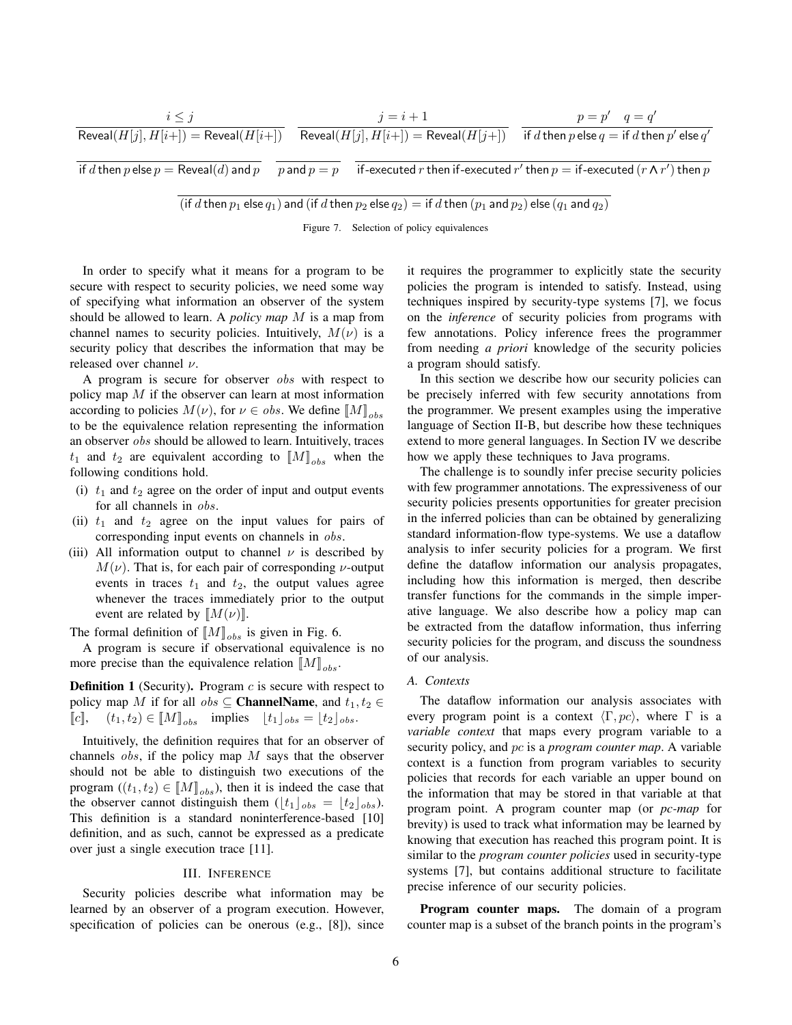$$
\cfrac{i \leq j}{\text{Reveal}(H[j], H[i+]) = \text{Reveal}(H[i+])} \quad \cfrac{j = i + 1}{\text{Reveal}(H[j], H[i+]) = \text{Reveal}(H[j+])} \quad \cfrac{p = p' \quad q = q'}{\text{if } d \text{ then } p \text{ else } q = \text{if } d \text{ then } p' \text{ else } q' = \text{if } d \text{ then } p \text{ else } p' = \text{Reveal}(d) \text{ and } p} \quad \cfrac{p}{p \text{ and } p = p} \quad \cfrac{j}{p \text{ and } p = p} \quad \cfrac{p}{p \text{ and } p \text{ else } p \text{ else } q' \text{ there is } p \text{ else } q' \text{ else } p' = \text{Reveal}(d) \text{ and } p}
$$

(if d then  $p_1$  else  $q_1$ ) and (if d then  $p_2$  else  $q_2$ ) = if d then  $(p_1$  and  $p_2)$  else  $(q_1$  and  $q_2)$ 

Figure 7. Selection of policy equivalences

In order to specify what it means for a program to be secure with respect to security policies, we need some way of specifying what information an observer of the system should be allowed to learn. A *policy map* M is a map from channel names to security policies. Intuitively,  $M(\nu)$  is a security policy that describes the information that may be released over channel  $\nu$ .

A program is secure for observer obs with respect to policy map  $M$  if the observer can learn at most information according to policies  $M(\nu)$ , for  $\nu \in obs$ . We define  $\llbracket M \rrbracket_{obs}$ to be the equivalence relation representing the information an observer obs should be allowed to learn. Intuitively, traces  $t_1$  and  $t_2$  are equivalent according to  $[M]_{obs}$  when the following conditions hold.

- (i)  $t_1$  and  $t_2$  agree on the order of input and output events for all channels in obs.
- (ii)  $t_1$  and  $t_2$  agree on the input values for pairs of corresponding input events on channels in obs.
- (iii) All information output to channel  $\nu$  is described by  $M(\nu)$ . That is, for each pair of corresponding  $\nu$ -output events in traces  $t_1$  and  $t_2$ , the output values agree whenever the traces immediately prior to the output event are related by  $[M(\nu)]$ .

The formal definition of  $[M]_{obs}$  is given in Fig. 6.

A program is secure if observational equivalence is no more precise than the equivalence relation  $[M]_{obs}$ .

**Definition 1** (Security). Program  $c$  is secure with respect to policy map M if for all  $obs \subseteq \textbf{ChannelName}$ , and  $t_1, t_2 \in$  $[\![c]\!]$ ,  $(t_1, t_2) \in [\![M]\!]_{obs}$  implies  $[t_1]_{obs} = [t_2]_{obs}$ .

Intuitively, the definition requires that for an observer of channels  $\delta$  obs, if the policy map M says that the observer should not be able to distinguish two executions of the program  $((t_1, t_2) \in [M]_{obs}$ , then it is indeed the case that the observer cannot distinguish them  $(\lfloor t_1 \rfloor_{obs} = \lfloor t_2 \rfloor_{obs}).$ This definition is a standard noninterference-based [10] definition, and as such, cannot be expressed as a predicate over just a single execution trace [11].

#### III. INFERENCE

Security policies describe what information may be learned by an observer of a program execution. However, specification of policies can be onerous (e.g., [8]), since it requires the programmer to explicitly state the security policies the program is intended to satisfy. Instead, using techniques inspired by security-type systems [7], we focus on the *inference* of security policies from programs with few annotations. Policy inference frees the programmer from needing *a priori* knowledge of the security policies a program should satisfy.

In this section we describe how our security policies can be precisely inferred with few security annotations from the programmer. We present examples using the imperative language of Section II-B, but describe how these techniques extend to more general languages. In Section IV we describe how we apply these techniques to Java programs.

The challenge is to soundly infer precise security policies with few programmer annotations. The expressiveness of our security policies presents opportunities for greater precision in the inferred policies than can be obtained by generalizing standard information-flow type-systems. We use a dataflow analysis to infer security policies for a program. We first define the dataflow information our analysis propagates, including how this information is merged, then describe transfer functions for the commands in the simple imperative language. We also describe how a policy map can be extracted from the dataflow information, thus inferring security policies for the program, and discuss the soundness of our analysis.

# *A. Contexts*

The dataflow information our analysis associates with every program point is a context  $\langle \Gamma, pc \rangle$ , where  $\Gamma$  is a *variable context* that maps every program variable to a security policy, and pc is a *program counter map*. A variable context is a function from program variables to security policies that records for each variable an upper bound on the information that may be stored in that variable at that program point. A program counter map (or *pc-map* for brevity) is used to track what information may be learned by knowing that execution has reached this program point. It is similar to the *program counter policies* used in security-type systems [7], but contains additional structure to facilitate precise inference of our security policies.

Program counter maps. The domain of a program counter map is a subset of the branch points in the program's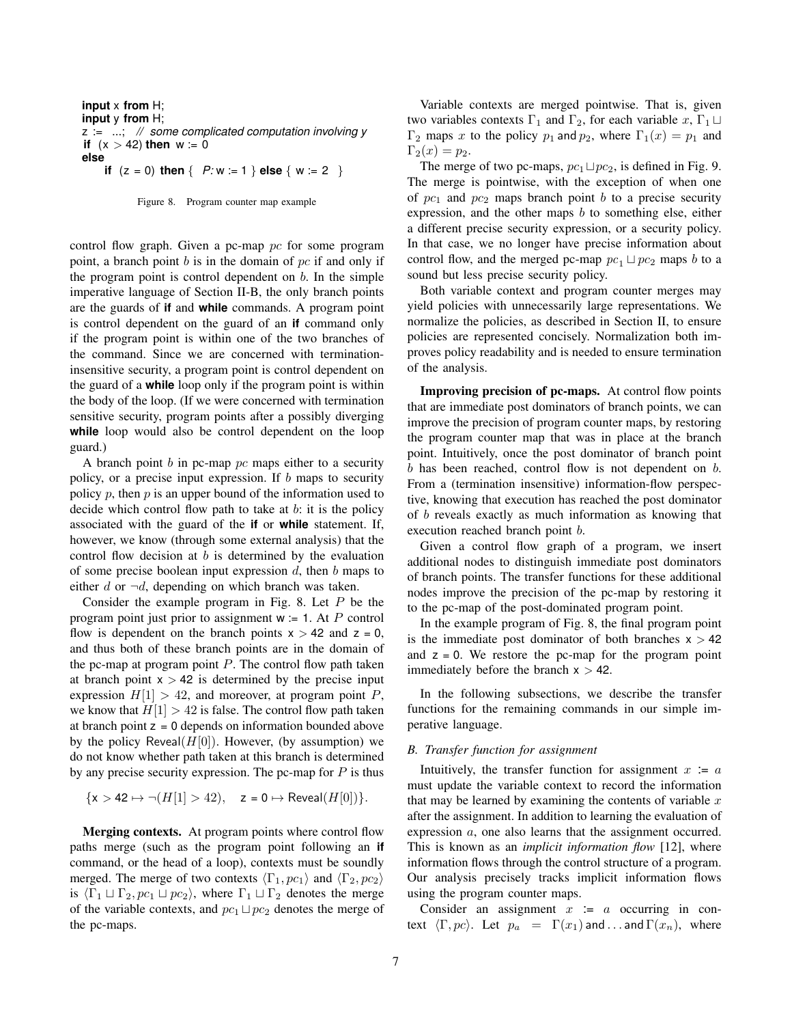```
input x from H;
input y from H;
z := ...; // some complicated computation involving y
if (x > 42) then w := 0else
    if (z = 0) then \{ P: w := 1 \} else \{ w := 2 \}
```


control flow graph. Given a pc-map pc for some program point, a branch point  $b$  is in the domain of  $pc$  if and only if the program point is control dependent on  $b$ . In the simple imperative language of Section II-B, the only branch points are the guards of **if** and **while** commands. A program point is control dependent on the guard of an **if** command only if the program point is within one of the two branches of the command. Since we are concerned with terminationinsensitive security, a program point is control dependent on the guard of a **while** loop only if the program point is within the body of the loop. (If we were concerned with termination sensitive security, program points after a possibly diverging **while** loop would also be control dependent on the loop guard.)

A branch point  $b$  in pc-map  $pc$  maps either to a security policy, or a precise input expression. If  $b$  maps to security policy  $p$ , then  $p$  is an upper bound of the information used to decide which control flow path to take at  $b$ : it is the policy associated with the guard of the **if** or **while** statement. If, however, we know (through some external analysis) that the control flow decision at  $b$  is determined by the evaluation of some precise boolean input expression  $d$ , then  $b$  maps to either d or  $\neg d$ , depending on which branch was taken.

Consider the example program in Fig. 8. Let  $P$  be the program point just prior to assignment  $w = 1$ . At P control flow is dependent on the branch points  $x > 42$  and  $z = 0$ , and thus both of these branch points are in the domain of the pc-map at program point  $P$ . The control flow path taken at branch point  $x > 42$  is determined by the precise input expression  $H[1] > 42$ , and moreover, at program point P, we know that  $H[1] > 42$  is false. The control flow path taken at branch point  $z = 0$  depends on information bounded above by the policy Reveal $(H[0])$ . However, (by assumption) we do not know whether path taken at this branch is determined by any precise security expression. The pc-map for  $P$  is thus

$$
\{x > 42 \mapsto \neg(H[1] > 42), \quad z = 0 \mapsto \text{Reveal}(H[0])\}.
$$

Merging contexts. At program points where control flow paths merge (such as the program point following an **if** command, or the head of a loop), contexts must be soundly merged. The merge of two contexts  $\langle \Gamma_1, pc_1 \rangle$  and  $\langle \Gamma_2, pc_2 \rangle$ is  $\langle \Gamma_1 \sqcup \Gamma_2, pc_1 \sqcup pc_2 \rangle$ , where  $\Gamma_1 \sqcup \Gamma_2$  denotes the merge of the variable contexts, and  $pc_1 \sqcup pc_2$  denotes the merge of the pc-maps.

Variable contexts are merged pointwise. That is, given two variables contexts  $\Gamma_1$  and  $\Gamma_2$ , for each variable  $x, \Gamma_1 \sqcup$ Γ<sub>2</sub> maps x to the policy  $p_1$  and  $p_2$ , where  $Γ_1(x) = p_1$  and  $\Gamma_2(x) = p_2.$ 

The merge of two pc-maps,  $pc_1 \sqcup pc_2$ , is defined in Fig. 9. The merge is pointwise, with the exception of when one of  $pc_1$  and  $pc_2$  maps branch point b to a precise security expression, and the other maps  $b$  to something else, either a different precise security expression, or a security policy. In that case, we no longer have precise information about control flow, and the merged pc-map  $pc_1 \sqcup pc_2$  maps b to a sound but less precise security policy.

Both variable context and program counter merges may yield policies with unnecessarily large representations. We normalize the policies, as described in Section II, to ensure policies are represented concisely. Normalization both improves policy readability and is needed to ensure termination of the analysis.

Improving precision of pc-maps. At control flow points that are immediate post dominators of branch points, we can improve the precision of program counter maps, by restoring the program counter map that was in place at the branch point. Intuitively, once the post dominator of branch point  $b$  has been reached, control flow is not dependent on  $b$ . From a (termination insensitive) information-flow perspective, knowing that execution has reached the post dominator of b reveals exactly as much information as knowing that execution reached branch point b.

Given a control flow graph of a program, we insert additional nodes to distinguish immediate post dominators of branch points. The transfer functions for these additional nodes improve the precision of the pc-map by restoring it to the pc-map of the post-dominated program point.

In the example program of Fig. 8, the final program point is the immediate post dominator of both branches  $x > 42$ and  $z = 0$ . We restore the pc-map for the program point immediately before the branch  $x > 42$ .

In the following subsections, we describe the transfer functions for the remaining commands in our simple imperative language.

### *B. Transfer function for assignment*

Intuitively, the transfer function for assignment  $x = a$ must update the variable context to record the information that may be learned by examining the contents of variable  $x$ after the assignment. In addition to learning the evaluation of expression a, one also learns that the assignment occurred. This is known as an *implicit information flow* [12], where information flows through the control structure of a program. Our analysis precisely tracks implicit information flows using the program counter maps.

Consider an assignment  $x = a$  occurring in context  $\langle \Gamma, pc \rangle$ . Let  $p_a = \Gamma(x_1)$  and . . . and  $\Gamma(x_n)$ , where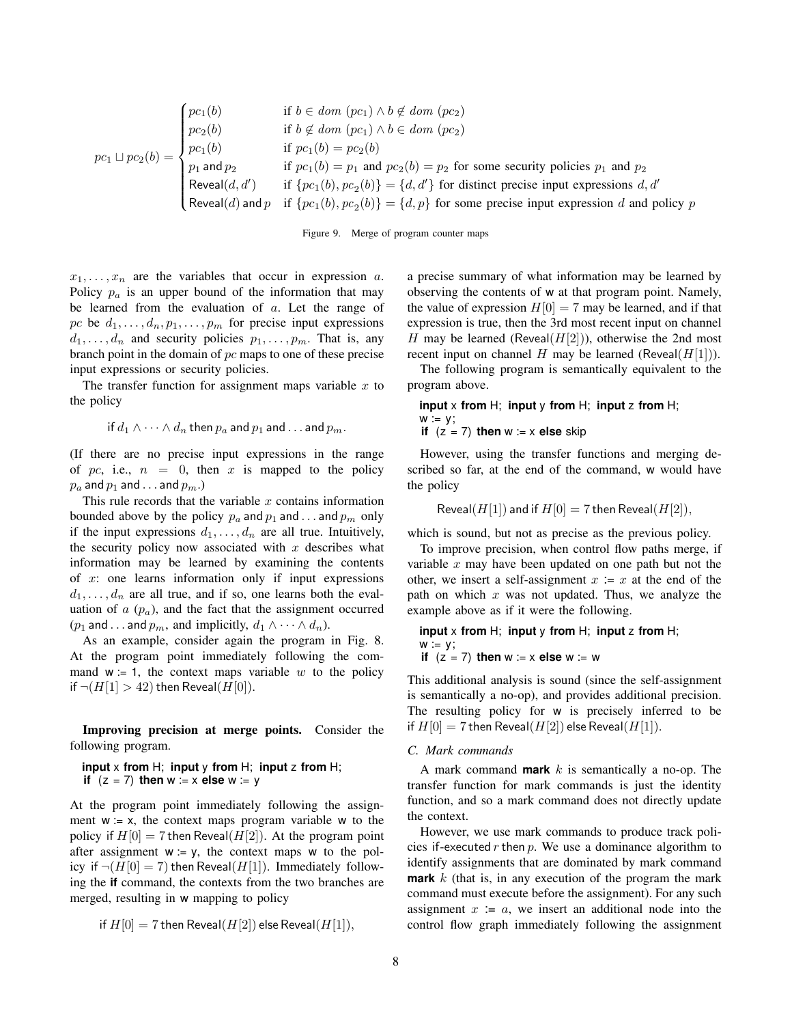$$
pc_1 \sqcup pc_2(b) = \begin{cases} pc_1(b) & \text{if } b \in dom (pc_1) \land b \notin dom (pc_2) \\ pc_2(b) & \text{if } b \notin dom (pc_1) \land b \in dom (pc_2) \\ pc_1(b) & \text{if } pc_1(b) = pc_2(b) \\ p_1 \text{ and } p_2 & \text{if } pc_1(b) = p_1 \text{ and } pc_2(b) = p_2 \text{ for some security policies } p_1 \text{ and } p_2 \\ \text{Reveal}(d, d') & \text{if } \{pc_1(b), pc_2(b)\} = \{d, d'\} \text{ for distinct precise input expressions } d, d' \\ \text{Reveal}(d) \text{ and } p \text{ if } \{pc_1(b), pc_2(b)\} = \{d, p\} \text{ for some precise input expression } d \text{ and policy } p \end{cases}
$$

Figure 9. Merge of program counter maps

 $x_1, \ldots, x_n$  are the variables that occur in expression a. Policy  $p_a$  is an upper bound of the information that may be learned from the evaluation of  $a$ . Let the range of pc be  $d_1, \ldots, d_n, p_1, \ldots, p_m$  for precise input expressions  $d_1, \ldots, d_n$  and security policies  $p_1, \ldots, p_m$ . That is, any branch point in the domain of  $pc$  maps to one of these precise input expressions or security policies.

The transfer function for assignment maps variable  $x$  to the policy

if 
$$
d_1 \wedge \cdots \wedge d_n
$$
 then  $p_a$  and  $p_1$  and ... and  $p_m$ .

(If there are no precise input expressions in the range of pc, i.e.,  $n = 0$ , then x is mapped to the policy  $p_a$  and  $p_1$  and . . . and  $p_m$ .)

This rule records that the variable  $x$  contains information bounded above by the policy  $p_a$  and  $p_1$  and . . . and  $p_m$  only if the input expressions  $d_1, \ldots, d_n$  are all true. Intuitively, the security policy now associated with  $x$  describes what information may be learned by examining the contents of  $x$ : one learns information only if input expressions  $d_1, \ldots, d_n$  are all true, and if so, one learns both the evaluation of  $a$  ( $p_a$ ), and the fact that the assignment occurred ( $p_1$  and . . . and  $p_m$ , and implicitly,  $d_1 \wedge \cdots \wedge d_n$ ).

As an example, consider again the program in Fig. 8. At the program point immediately following the command  $w = 1$ , the context maps variable w to the policy if  $\neg(H[1] > 42)$  then Reveal( $H[0]$ ).

Improving precision at merge points. Consider the following program.

# **input** x **from** H; **input** y **from** H; **input** z **from** H; **if**  $(z = 7)$  **then**  $w := x$  **else**  $w := y$

At the program point immediately following the assignment  $w = x$ , the context maps program variable w to the policy if  $H[0] = 7$  then Reveal( $H[2]$ ). At the program point after assignment  $w = y$ , the context maps w to the policy if  $\neg(H[0] = 7)$  then Reveal( $H[1]$ ). Immediately following the **if** command, the contexts from the two branches are merged, resulting in w mapping to policy

if 
$$
H[0] = 7
$$
 then Reveal $(H[2])$  else Reveal $(H[1])$ ,

a precise summary of what information may be learned by observing the contents of w at that program point. Namely, the value of expression  $H[0] = 7$  may be learned, and if that expression is true, then the 3rd most recent input on channel H may be learned (Reveal( $H[2]$ )), otherwise the 2nd most recent input on channel H may be learned (Reveal( $H[1]$ )).

The following program is semantically equivalent to the program above.

#### **input** x **from** H; **input** y **from** H; **input** z **from** H;  $w = y;$ **if**  $(z = 7)$  **then**  $w := x$  **else** skip

However, using the transfer functions and merging described so far, at the end of the command, w would have the policy

$$
Reveal(H[1])
$$
 and if  $H[0] = 7$  then  $Reveal(H[2]),$ 

which is sound, but not as precise as the previous policy.

To improve precision, when control flow paths merge, if variable  $x$  may have been updated on one path but not the other, we insert a self-assignment  $x := x$  at the end of the path on which  $x$  was not updated. Thus, we analyze the example above as if it were the following.

input x from H; input y from H; input z from H;  
w := y;  
if 
$$
(z = 7)
$$
 then w := x else w := w

This additional analysis is sound (since the self-assignment is semantically a no-op), and provides additional precision. The resulting policy for w is precisely inferred to be if  $H[0] = 7$  then Reveal $(H[2])$  else Reveal $(H[1])$ .

### *C. Mark commands*

A mark command **mark**  $k$  is semantically a no-op. The transfer function for mark commands is just the identity function, and so a mark command does not directly update the context.

However, we use mark commands to produce track policies if-executed  $r$  then  $p$ . We use a dominance algorithm to identify assignments that are dominated by mark command **mark** k (that is, in any execution of the program the mark command must execute before the assignment). For any such assignment  $x = a$ , we insert an additional node into the control flow graph immediately following the assignment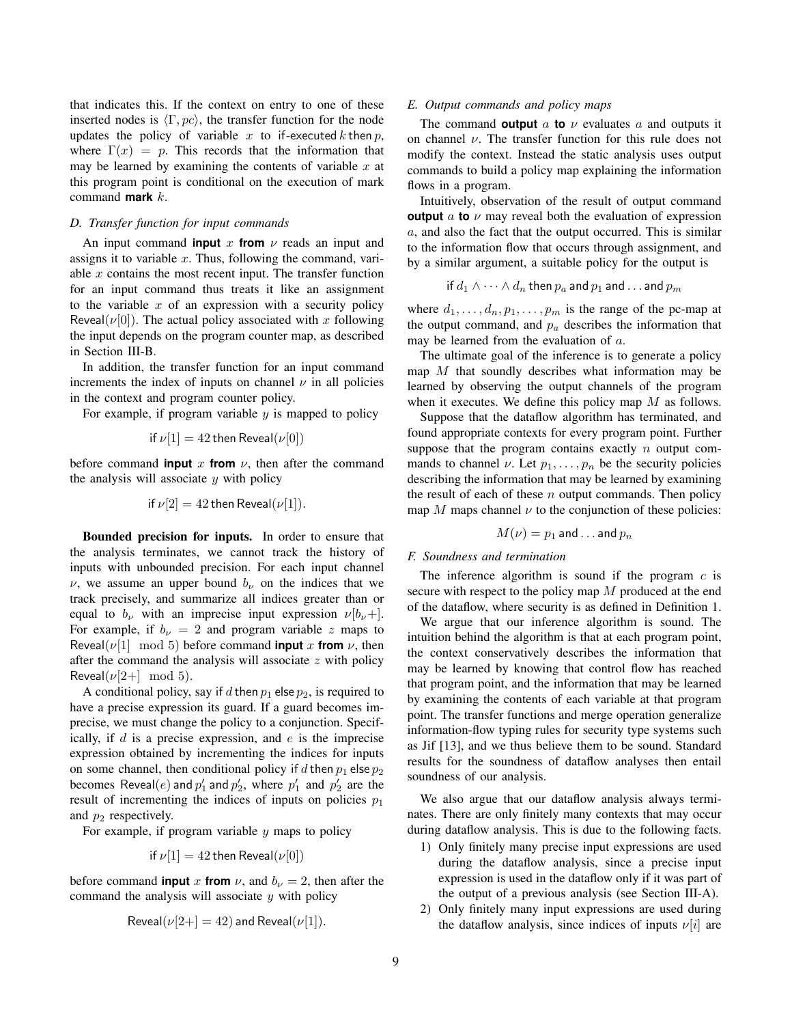that indicates this. If the context on entry to one of these inserted nodes is  $\langle \Gamma, pc \rangle$ , the transfer function for the node updates the policy of variable x to if-executed k then  $p$ , where  $\Gamma(x) = p$ . This records that the information that may be learned by examining the contents of variable  $x$  at this program point is conditional on the execution of mark command **mark** k.

### *D. Transfer function for input commands*

An input command **input** x **from**  $\nu$  reads an input and assigns it to variable  $x$ . Thus, following the command, variable  $x$  contains the most recent input. The transfer function for an input command thus treats it like an assignment to the variable  $x$  of an expression with a security policy Reveal( $\nu$ [0]). The actual policy associated with x following the input depends on the program counter map, as described in Section III-B.

In addition, the transfer function for an input command increments the index of inputs on channel  $\nu$  in all policies in the context and program counter policy.

For example, if program variable  $y$  is mapped to policy

if 
$$
\nu[1] = 42
$$
 then Reveal $(\nu[0])$ 

before command **input** x **from**  $\nu$ , then after the command the analysis will associate  $y$  with policy

if 
$$
\nu[2] = 42
$$
 then Reveal $(\nu[1])$ .

Bounded precision for inputs. In order to ensure that the analysis terminates, we cannot track the history of inputs with unbounded precision. For each input channel  $\nu$ , we assume an upper bound  $b_{\nu}$  on the indices that we track precisely, and summarize all indices greater than or equal to  $b_{\nu}$  with an imprecise input expression  $\nu[b_{\nu}+]$ . For example, if  $b_{\nu} = 2$  and program variable z maps to Reveal( $\nu$ [1] mod 5) before command **input** x **from**  $\nu$ , then after the command the analysis will associate  $z$  with policy Reveal( $\nu$ [2+] mod 5).

A conditional policy, say if d then  $p_1$  else  $p_2$ , is required to have a precise expression its guard. If a guard becomes imprecise, we must change the policy to a conjunction. Specifically, if  $d$  is a precise expression, and  $e$  is the imprecise expression obtained by incrementing the indices for inputs on some channel, then conditional policy if d then  $p_1$  else  $p_2$ becomes  $\text{Reveal}(e)$  and  $p'_1$  and  $p'_2$ , where  $p'_1$  and  $p'_2$  are the result of incrementing the indices of inputs on policies  $p_1$ and  $p_2$  respectively.

For example, if program variable  $y$  maps to policy

if 
$$
\nu[1] = 42
$$
 then Reveal $(\nu[0])$ 

before command **input** x **from**  $\nu$ , and  $b_{\nu} = 2$ , then after the command the analysis will associate  $y$  with policy

$$
Reveal(\nu[2+] = 42) \text{ and } Reveal(\nu[1]).
$$

### *E. Output commands and policy maps*

The command **output**  $\alpha$  **to**  $\nu$  evaluates  $\alpha$  and outputs it on channel  $\nu$ . The transfer function for this rule does not modify the context. Instead the static analysis uses output commands to build a policy map explaining the information flows in a program.

Intuitively, observation of the result of output command **output** a **to**  $\nu$  may reveal both the evaluation of expression a, and also the fact that the output occurred. This is similar to the information flow that occurs through assignment, and by a similar argument, a suitable policy for the output is

$$
\hbox{ if } d_1\wedge\cdots\wedge d_n \hbox{ then } p_a \hbox{ and } p_1 \hbox{ and } \ldots \hbox{ and } p_m
$$

where  $d_1, \ldots, d_n, p_1, \ldots, p_m$  is the range of the pc-map at the output command, and  $p_a$  describes the information that may be learned from the evaluation of a.

The ultimate goal of the inference is to generate a policy map  $M$  that soundly describes what information may be learned by observing the output channels of the program when it executes. We define this policy map  $M$  as follows.

Suppose that the dataflow algorithm has terminated, and found appropriate contexts for every program point. Further suppose that the program contains exactly  $n$  output commands to channel  $\nu$ . Let  $p_1, \ldots, p_n$  be the security policies describing the information that may be learned by examining the result of each of these  $n$  output commands. Then policy map M maps channel  $\nu$  to the conjunction of these policies:

$$
M(\nu)=p_1 \text{ and } \ldots \text{ and } p_n
$$

# *F. Soundness and termination*

The inference algorithm is sound if the program  $c$  is secure with respect to the policy map M produced at the end of the dataflow, where security is as defined in Definition 1.

We argue that our inference algorithm is sound. The intuition behind the algorithm is that at each program point, the context conservatively describes the information that may be learned by knowing that control flow has reached that program point, and the information that may be learned by examining the contents of each variable at that program point. The transfer functions and merge operation generalize information-flow typing rules for security type systems such as Jif [13], and we thus believe them to be sound. Standard results for the soundness of dataflow analyses then entail soundness of our analysis.

We also argue that our dataflow analysis always terminates. There are only finitely many contexts that may occur during dataflow analysis. This is due to the following facts.

- 1) Only finitely many precise input expressions are used during the dataflow analysis, since a precise input expression is used in the dataflow only if it was part of the output of a previous analysis (see Section III-A).
- 2) Only finitely many input expressions are used during the dataflow analysis, since indices of inputs  $\nu[i]$  are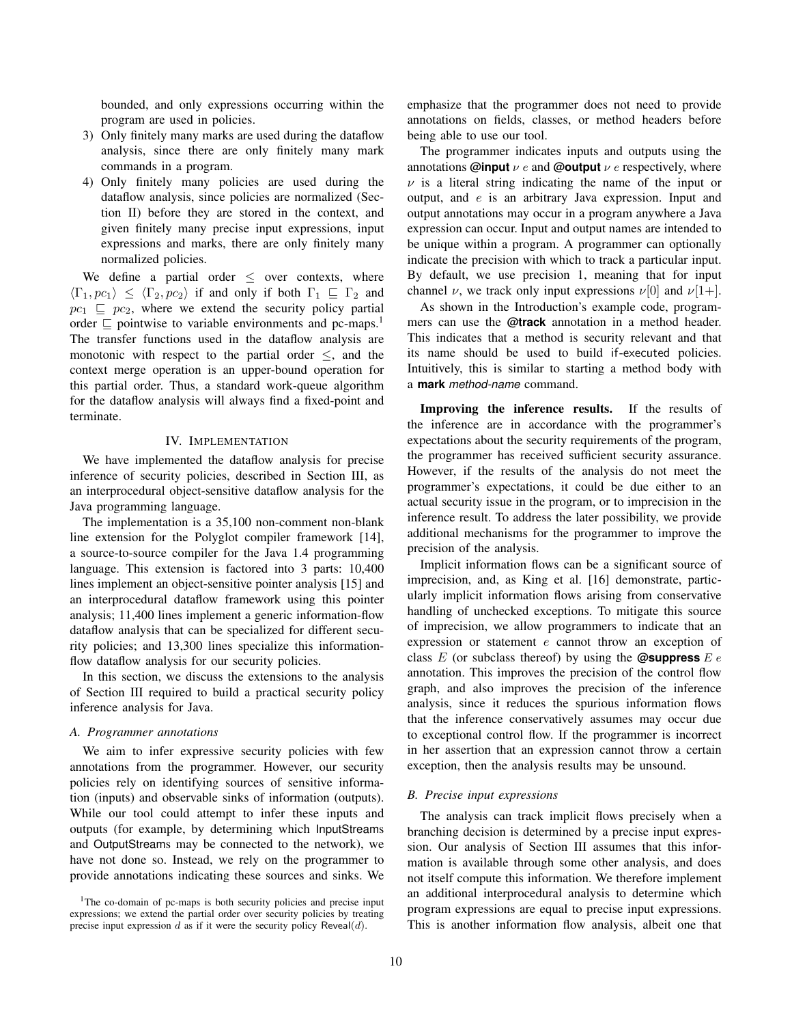bounded, and only expressions occurring within the program are used in policies.

- 3) Only finitely many marks are used during the dataflow analysis, since there are only finitely many mark commands in a program.
- 4) Only finitely many policies are used during the dataflow analysis, since policies are normalized (Section II) before they are stored in the context, and given finitely many precise input expressions, input expressions and marks, there are only finitely many normalized policies.

We define a partial order  $\leq$  over contexts, where  $\langle \Gamma_1, pc_1 \rangle \leq \langle \Gamma_2, pc_2 \rangle$  if and only if both  $\Gamma_1 \subseteq \Gamma_2$  and  $pc_1 \subseteq pc_2$ , where we extend the security policy partial order  $\subseteq$  pointwise to variable environments and pc-maps.<sup>1</sup> The transfer functions used in the dataflow analysis are monotonic with respect to the partial order  $\le$ , and the context merge operation is an upper-bound operation for this partial order. Thus, a standard work-queue algorithm for the dataflow analysis will always find a fixed-point and terminate.

### IV. IMPLEMENTATION

We have implemented the dataflow analysis for precise inference of security policies, described in Section III, as an interprocedural object-sensitive dataflow analysis for the Java programming language.

The implementation is a 35,100 non-comment non-blank line extension for the Polyglot compiler framework [14], a source-to-source compiler for the Java 1.4 programming language. This extension is factored into 3 parts: 10,400 lines implement an object-sensitive pointer analysis [15] and an interprocedural dataflow framework using this pointer analysis; 11,400 lines implement a generic information-flow dataflow analysis that can be specialized for different security policies; and 13,300 lines specialize this informationflow dataflow analysis for our security policies.

In this section, we discuss the extensions to the analysis of Section III required to build a practical security policy inference analysis for Java.

### *A. Programmer annotations*

We aim to infer expressive security policies with few annotations from the programmer. However, our security policies rely on identifying sources of sensitive information (inputs) and observable sinks of information (outputs). While our tool could attempt to infer these inputs and outputs (for example, by determining which InputStreams and OutputStreams may be connected to the network), we have not done so. Instead, we rely on the programmer to provide annotations indicating these sources and sinks. We emphasize that the programmer does not need to provide annotations on fields, classes, or method headers before being able to use our tool.

The programmer indicates inputs and outputs using the annotations **@input**  $\nu$  e and **@output**  $\nu$  e respectively, where  $\nu$  is a literal string indicating the name of the input or output, and e is an arbitrary Java expression. Input and output annotations may occur in a program anywhere a Java expression can occur. Input and output names are intended to be unique within a program. A programmer can optionally indicate the precision with which to track a particular input. By default, we use precision 1, meaning that for input channel  $\nu$ , we track only input expressions  $\nu[0]$  and  $\nu[1+]$ .

As shown in the Introduction's example code, programmers can use the **@track** annotation in a method header. This indicates that a method is security relevant and that its name should be used to build if-executed policies. Intuitively, this is similar to starting a method body with a **mark** *method-name* command.

Improving the inference results. If the results of the inference are in accordance with the programmer's expectations about the security requirements of the program, the programmer has received sufficient security assurance. However, if the results of the analysis do not meet the programmer's expectations, it could be due either to an actual security issue in the program, or to imprecision in the inference result. To address the later possibility, we provide additional mechanisms for the programmer to improve the precision of the analysis.

Implicit information flows can be a significant source of imprecision, and, as King et al. [16] demonstrate, particularly implicit information flows arising from conservative handling of unchecked exceptions. To mitigate this source of imprecision, we allow programmers to indicate that an expression or statement e cannot throw an exception of class  $E$  (or subclass thereof) by using the **@suppress**  $E e$ annotation. This improves the precision of the control flow graph, and also improves the precision of the inference analysis, since it reduces the spurious information flows that the inference conservatively assumes may occur due to exceptional control flow. If the programmer is incorrect in her assertion that an expression cannot throw a certain exception, then the analysis results may be unsound.

#### *B. Precise input expressions*

The analysis can track implicit flows precisely when a branching decision is determined by a precise input expression. Our analysis of Section III assumes that this information is available through some other analysis, and does not itself compute this information. We therefore implement an additional interprocedural analysis to determine which program expressions are equal to precise input expressions. This is another information flow analysis, albeit one that

<sup>&</sup>lt;sup>1</sup>The co-domain of pc-maps is both security policies and precise input expressions; we extend the partial order over security policies by treating precise input expression  $d$  as if it were the security policy Reveal $(d)$ .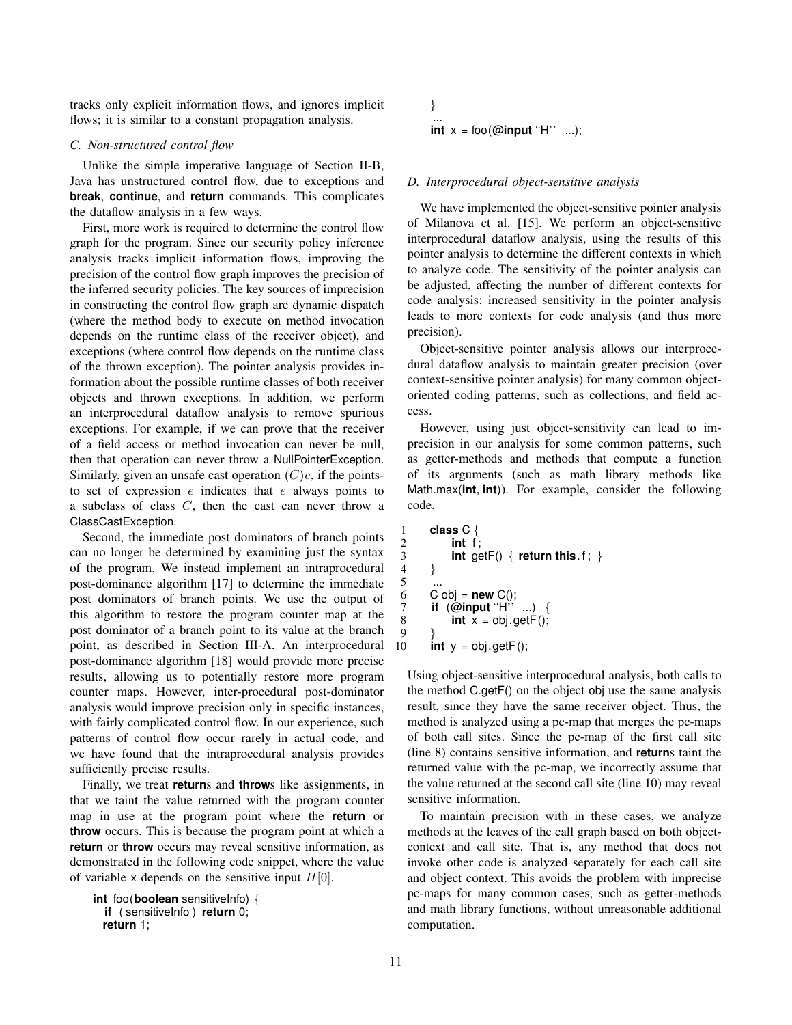tracks only explicit information flows, and ignores implicit flows; it is similar to a constant propagation analysis.

#### *C. Non-structured control flow*

Unlike the simple imperative language of Section II-B, Java has unstructured control flow, due to exceptions and **break**, **continue**, and **return** commands. This complicates the dataflow analysis in a few ways.

First, more work is required to determine the control flow graph for the program. Since our security policy inference analysis tracks implicit information flows, improving the precision of the control flow graph improves the precision of the inferred security policies. The key sources of imprecision in constructing the control flow graph are dynamic dispatch (where the method body to execute on method invocation depends on the runtime class of the receiver object), and exceptions (where control flow depends on the runtime class of the thrown exception). The pointer analysis provides information about the possible runtime classes of both receiver objects and thrown exceptions. In addition, we perform an interprocedural dataflow analysis to remove spurious exceptions. For example, if we can prove that the receiver of a field access or method invocation can never be null, then that operation can never throw a NullPointerException. Similarly, given an unsafe cast operation  $(C)e$ , if the pointsto set of expression  $e$  indicates that  $e$  always points to a subclass of class C, then the cast can never throw a ClassCastException.

Second, the immediate post dominators of branch points can no longer be determined by examining just the syntax of the program. We instead implement an intraprocedural post-dominance algorithm [17] to determine the immediate post dominators of branch points. We use the output of this algorithm to restore the program counter map at the post dominator of a branch point to its value at the branch point, as described in Section III-A. An interprocedural post-dominance algorithm [18] would provide more precise results, allowing us to potentially restore more program counter maps. However, inter-procedural post-dominator analysis would improve precision only in specific instances, with fairly complicated control flow. In our experience, such patterns of control flow occur rarely in actual code, and we have found that the intraprocedural analysis provides sufficiently precise results.

Finally, we treat **return**s and **throw**s like assignments, in that we taint the value returned with the program counter map in use at the program point where the **return** or **throw** occurs. This is because the program point at which a **return** or **throw** occurs may reveal sensitive information, as demonstrated in the following code snippet, where the value of variable x depends on the sensitive input  $H[0]$ .

```
int foo(boolean sensitiveInfo) {
  if ( sensitiveInfo ) return 0;
  return 1;
```

$$
\begin{array}{l}\n\vdots \\
\text{int } x = \text{foo}(\text{@input "H" ...});\n\end{array}
$$

#### *D. Interprocedural object-sensitive analysis*

We have implemented the object-sensitive pointer analysis of Milanova et al. [15]. We perform an object-sensitive interprocedural dataflow analysis, using the results of this pointer analysis to determine the different contexts in which to analyze code. The sensitivity of the pointer analysis can be adjusted, affecting the number of different contexts for code analysis: increased sensitivity in the pointer analysis leads to more contexts for code analysis (and thus more precision).

Object-sensitive pointer analysis allows our interprocedural dataflow analysis to maintain greater precision (over context-sensitive pointer analysis) for many common objectoriented coding patterns, such as collections, and field access.

However, using just object-sensitivity can lead to imprecision in our analysis for some common patterns, such as getter-methods and methods that compute a function of its arguments (such as math library methods like Math.max(**int**, **int**)). For example, consider the following code.

```
1 class C {
2 int f;<br>3 int ge
\begin{array}{c} 3 \\ 4 \end{array} int getF() { return this. f; }
      \}6 C \text{ obj} = \text{new } C();
7 if (@input ''H'' ...) {
8 int x = obj.getF();
      int y = obj.getF();
```
Using object-sensitive interprocedural analysis, both calls to the method C.getF() on the object obj use the same analysis result, since they have the same receiver object. Thus, the method is analyzed using a pc-map that merges the pc-maps of both call sites. Since the pc-map of the first call site (line 8) contains sensitive information, and **return**s taint the returned value with the pc-map, we incorrectly assume that the value returned at the second call site (line 10) may reveal sensitive information.

To maintain precision with in these cases, we analyze methods at the leaves of the call graph based on both objectcontext and call site. That is, any method that does not invoke other code is analyzed separately for each call site and object context. This avoids the problem with imprecise pc-maps for many common cases, such as getter-methods and math library functions, without unreasonable additional computation.

5

 $\frac{9}{10}$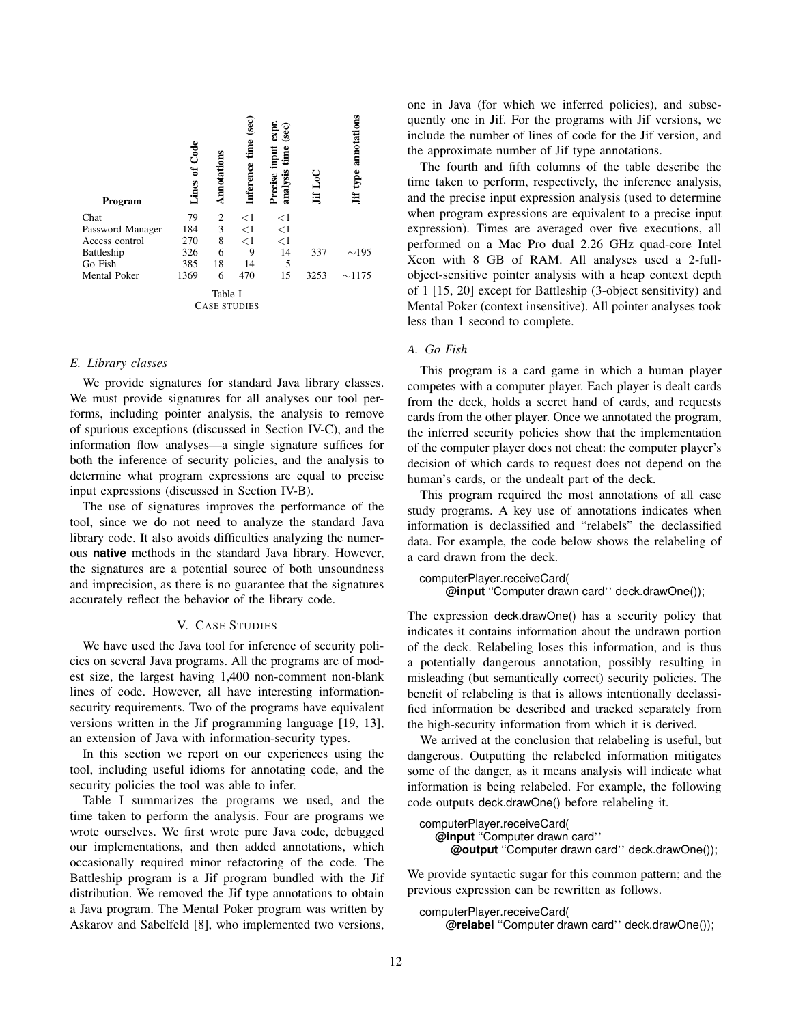| Program             | of Code<br>Lines | nnotations | $\rm (sec)$<br>time<br>Inference | $(\sec)$<br>expi<br>Precise input<br>time<br>analysis | ≡    | type annotations<br>Ϊť |
|---------------------|------------------|------------|----------------------------------|-------------------------------------------------------|------|------------------------|
| Chat                | 79               | 2          | $<$ 1                            | $<$ 1                                                 |      |                        |
| Password Manager    | 184              | 3          | $<$ 1                            | <1                                                    |      |                        |
| Access control      | 270              | 8          | $\leq$ 1                         | $<$ 1                                                 |      |                        |
| Battleship          | 326              | 6          | 9                                | 14                                                    | 337  | $\sim$ 195             |
| Go Fish             | 385              | 18         | 14                               | 5                                                     |      |                        |
| <b>Mental Poker</b> | 1369             | 6          | 470                              | 15                                                    | 3253 | $\sim$ 1175            |
| Table I             |                  |            |                                  |                                                       |      |                        |
| CASE STUDIES        |                  |            |                                  |                                                       |      |                        |

### *E. Library classes*

We provide signatures for standard Java library classes. We must provide signatures for all analyses our tool performs, including pointer analysis, the analysis to remove of spurious exceptions (discussed in Section IV-C), and the information flow analyses—a single signature suffices for both the inference of security policies, and the analysis to determine what program expressions are equal to precise input expressions (discussed in Section IV-B).

The use of signatures improves the performance of the tool, since we do not need to analyze the standard Java library code. It also avoids difficulties analyzing the numerous **native** methods in the standard Java library. However, the signatures are a potential source of both unsoundness and imprecision, as there is no guarantee that the signatures accurately reflect the behavior of the library code.

### V. CASE STUDIES

We have used the Java tool for inference of security policies on several Java programs. All the programs are of modest size, the largest having 1,400 non-comment non-blank lines of code. However, all have interesting informationsecurity requirements. Two of the programs have equivalent versions written in the Jif programming language [19, 13], an extension of Java with information-security types.

In this section we report on our experiences using the tool, including useful idioms for annotating code, and the security policies the tool was able to infer.

Table I summarizes the programs we used, and the time taken to perform the analysis. Four are programs we wrote ourselves. We first wrote pure Java code, debugged our implementations, and then added annotations, which occasionally required minor refactoring of the code. The Battleship program is a Jif program bundled with the Jif distribution. We removed the Jif type annotations to obtain a Java program. The Mental Poker program was written by Askarov and Sabelfeld [8], who implemented two versions, one in Java (for which we inferred policies), and subsequently one in Jif. For the programs with Jif versions, we include the number of lines of code for the Jif version, and the approximate number of Jif type annotations.

The fourth and fifth columns of the table describe the time taken to perform, respectively, the inference analysis, and the precise input expression analysis (used to determine when program expressions are equivalent to a precise input expression). Times are averaged over five executions, all performed on a Mac Pro dual 2.26 GHz quad-core Intel Xeon with 8 GB of RAM. All analyses used a 2-fullobject-sensitive pointer analysis with a heap context depth of 1 [15, 20] except for Battleship (3-object sensitivity) and Mental Poker (context insensitive). All pointer analyses took less than 1 second to complete.

# *A. Go Fish*

This program is a card game in which a human player competes with a computer player. Each player is dealt cards from the deck, holds a secret hand of cards, and requests cards from the other player. Once we annotated the program, the inferred security policies show that the implementation of the computer player does not cheat: the computer player's decision of which cards to request does not depend on the human's cards, or the undealt part of the deck.

This program required the most annotations of all case study programs. A key use of annotations indicates when information is declassified and "relabels" the declassified data. For example, the code below shows the relabeling of a card drawn from the deck.

```
computerPlayer.receiveCard(
```

```
@input ''Computer drawn card'' deck.drawOne());
```
The expression deck.drawOne() has a security policy that indicates it contains information about the undrawn portion of the deck. Relabeling loses this information, and is thus a potentially dangerous annotation, possibly resulting in misleading (but semantically correct) security policies. The benefit of relabeling is that is allows intentionally declassified information be described and tracked separately from the high-security information from which it is derived.

We arrived at the conclusion that relabeling is useful, but dangerous. Outputting the relabeled information mitigates some of the danger, as it means analysis will indicate what information is being relabeled. For example, the following code outputs deck.drawOne() before relabeling it.

```
computerPlayer.receiveCard(
   @input ''Computer drawn card''
     @output ''Computer drawn card'' deck.drawOne());
```
We provide syntactic sugar for this common pattern; and the previous expression can be rewritten as follows.

```
computerPlayer.receiveCard(
    @relabel ''Computer drawn card'' deck.drawOne());
```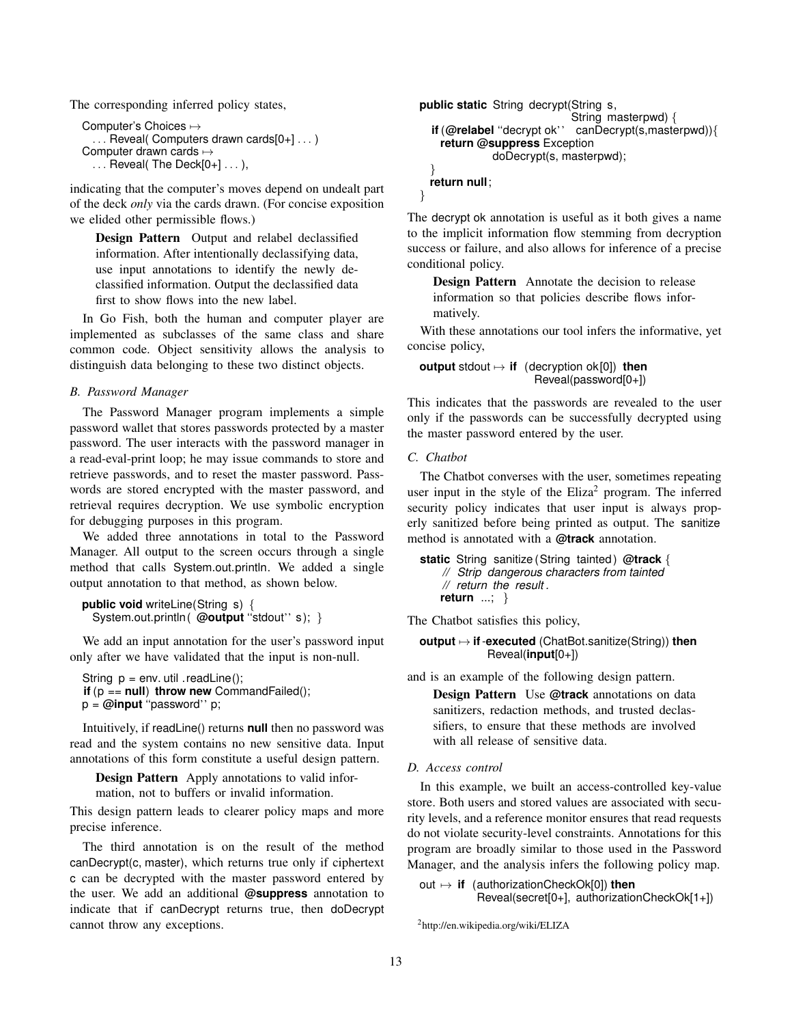The corresponding inferred policy states,

```
Computer's Choices \mapsto. . . Reveal( Computers drawn cards[0+] . . . )
Computer drawn cards \mapsto\ldots Reveal( The Deck[0+] \ldots ),
```
indicating that the computer's moves depend on undealt part of the deck *only* via the cards drawn. (For concise exposition we elided other permissible flows.)

Design Pattern Output and relabel declassified information. After intentionally declassifying data, use input annotations to identify the newly declassified information. Output the declassified data first to show flows into the new label.

In Go Fish, both the human and computer player are implemented as subclasses of the same class and share common code. Object sensitivity allows the analysis to distinguish data belonging to these two distinct objects.

# *B. Password Manager*

The Password Manager program implements a simple password wallet that stores passwords protected by a master password. The user interacts with the password manager in a read-eval-print loop; he may issue commands to store and retrieve passwords, and to reset the master password. Passwords are stored encrypted with the master password, and retrieval requires decryption. We use symbolic encryption for debugging purposes in this program.

We added three annotations in total to the Password Manager. All output to the screen occurs through a single method that calls System.out.println. We added a single output annotation to that method, as shown below.

```
public void writeLine(String s) {
  System.out.println ( @output "stdout" s); }
```
We add an input annotation for the user's password input only after we have validated that the input is non-null.

```
String p = env. util . readLine();
if (p == null) throw new CommandFailed();
p = @input ''password'' p;
```
Intuitively, if readLine() returns **null** then no password was read and the system contains no new sensitive data. Input annotations of this form constitute a useful design pattern.

Design Pattern Apply annotations to valid information, not to buffers or invalid information.

This design pattern leads to clearer policy maps and more precise inference.

The third annotation is on the result of the method canDecrypt(c, master), which returns true only if ciphertext c can be decrypted with the master password entered by the user. We add an additional **@suppress** annotation to indicate that if canDecrypt returns true, then doDecrypt cannot throw any exceptions.

```
public static String decrypt(String s,
                            String masterpwd) {
  if (@relabel ''decrypt ok'' canDecrypt(s,masterpwd)){
    return @suppress Exception
             doDecrypt(s, masterpwd);
  }
 return null;
}
```
The decrypt ok annotation is useful as it both gives a name to the implicit information flow stemming from decryption success or failure, and also allows for inference of a precise conditional policy.

Design Pattern Annotate the decision to release information so that policies describe flows informatively.

With these annotations our tool infers the informative, yet concise policy,

**output** stdout 7→ **if** (decryption ok[0]) **then** Reveal(password[0+])

This indicates that the passwords are revealed to the user only if the passwords can be successfully decrypted using the master password entered by the user.

# *C. Chatbot*

The Chatbot converses with the user, sometimes repeating user input in the style of the  $Eliza<sup>2</sup> program$ . The inferred security policy indicates that user input is always properly sanitized before being printed as output. The sanitize method is annotated with a **@track** annotation.

```
static String sanitize (String tainted ) @track {
    // Strip dangerous characters from tainted
    // return the result .
    return ...; }
```
The Chatbot satisfies this policy,

## **output** 7→ **if**-**executed** (ChatBot.sanitize(String)) **then** Reveal(**input**[0+])

and is an example of the following design pattern.

Design Pattern Use **@track** annotations on data sanitizers, redaction methods, and trusted declassifiers, to ensure that these methods are involved with all release of sensitive data.

*D. Access control*

In this example, we built an access-controlled key-value store. Both users and stored values are associated with security levels, and a reference monitor ensures that read requests do not violate security-level constraints. Annotations for this program are broadly similar to those used in the Password Manager, and the analysis infers the following policy map.

```
out 7→ if (authorizationCheckOk[0]) then
          Reveal(secret[0+], authorizationCheckOk[1+])
```

```
2http://en.wikipedia.org/wiki/ELIZA
```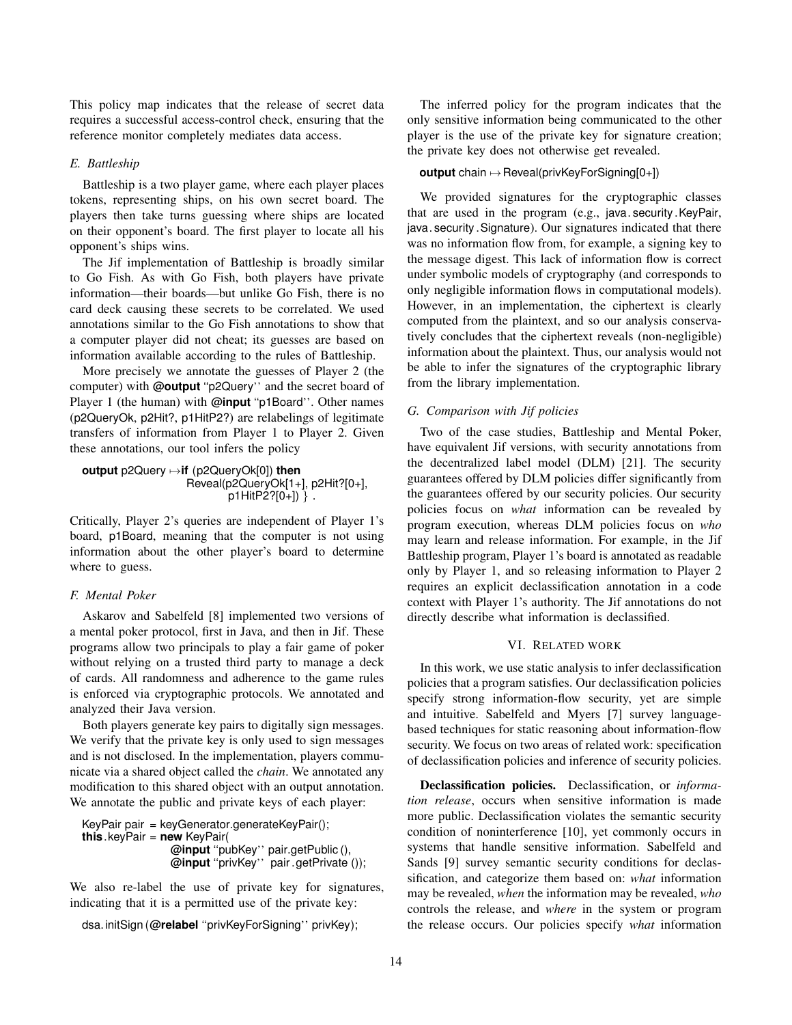This policy map indicates that the release of secret data requires a successful access-control check, ensuring that the reference monitor completely mediates data access.

# *E. Battleship*

Battleship is a two player game, where each player places tokens, representing ships, on his own secret board. The players then take turns guessing where ships are located on their opponent's board. The first player to locate all his opponent's ships wins.

The Jif implementation of Battleship is broadly similar to Go Fish. As with Go Fish, both players have private information—their boards—but unlike Go Fish, there is no card deck causing these secrets to be correlated. We used annotations similar to the Go Fish annotations to show that a computer player did not cheat; its guesses are based on information available according to the rules of Battleship.

More precisely we annotate the guesses of Player 2 (the computer) with **@output** ''p2Query'' and the secret board of Player 1 (the human) with **@input** "p1Board". Other names (p2QueryOk, p2Hit?, p1HitP2?) are relabelings of legitimate transfers of information from Player 1 to Player 2. Given these annotations, our tool infers the policy

**output** p2Query 7→**if** (p2QueryOk[0]) **then** Reveal(p2QueryOk[1+], p2Hit?[0+],  $p1$ HitP2? $[0+1)$  }.

Critically, Player 2's queries are independent of Player 1's board, p1Board, meaning that the computer is not using information about the other player's board to determine where to guess.

# *F. Mental Poker*

Askarov and Sabelfeld [8] implemented two versions of a mental poker protocol, first in Java, and then in Jif. These programs allow two principals to play a fair game of poker without relying on a trusted third party to manage a deck of cards. All randomness and adherence to the game rules is enforced via cryptographic protocols. We annotated and analyzed their Java version.

Both players generate key pairs to digitally sign messages. We verify that the private key is only used to sign messages and is not disclosed. In the implementation, players communicate via a shared object called the *chain*. We annotated any modification to this shared object with an output annotation. We annotate the public and private keys of each player:

```
KeyPair pair = keyGenerator.generateKeyPair();
this.keyPair = new KeyPair(
                 @input ''pubKey'' pair.getPublic (),
                 @input ''privKey'' pair .getPrivate ());
```
We also re-label the use of private key for signatures, indicating that it is a permitted use of the private key:

```
dsa. initSign (@relabel ''privKeyForSigning'' privKey);
```
The inferred policy for the program indicates that the only sensitive information being communicated to the other player is the use of the private key for signature creation; the private key does not otherwise get revealed.

# **output** chain  $\mapsto$  Reveal(privKeyForSigning[0+])

We provided signatures for the cryptographic classes that are used in the program (e.g., java. security .KeyPair, java. security .Signature). Our signatures indicated that there was no information flow from, for example, a signing key to the message digest. This lack of information flow is correct under symbolic models of cryptography (and corresponds to only negligible information flows in computational models). However, in an implementation, the ciphertext is clearly computed from the plaintext, and so our analysis conservatively concludes that the ciphertext reveals (non-negligible) information about the plaintext. Thus, our analysis would not be able to infer the signatures of the cryptographic library from the library implementation.

### *G. Comparison with Jif policies*

Two of the case studies, Battleship and Mental Poker, have equivalent Jif versions, with security annotations from the decentralized label model (DLM) [21]. The security guarantees offered by DLM policies differ significantly from the guarantees offered by our security policies. Our security policies focus on *what* information can be revealed by program execution, whereas DLM policies focus on *who* may learn and release information. For example, in the Jif Battleship program, Player 1's board is annotated as readable only by Player 1, and so releasing information to Player 2 requires an explicit declassification annotation in a code context with Player 1's authority. The Jif annotations do not directly describe what information is declassified.

#### VI. RELATED WORK

In this work, we use static analysis to infer declassification policies that a program satisfies. Our declassification policies specify strong information-flow security, yet are simple and intuitive. Sabelfeld and Myers [7] survey languagebased techniques for static reasoning about information-flow security. We focus on two areas of related work: specification of declassification policies and inference of security policies.

Declassification policies. Declassification, or *information release*, occurs when sensitive information is made more public. Declassification violates the semantic security condition of noninterference [10], yet commonly occurs in systems that handle sensitive information. Sabelfeld and Sands [9] survey semantic security conditions for declassification, and categorize them based on: *what* information may be revealed, *when* the information may be revealed, *who* controls the release, and *where* in the system or program the release occurs. Our policies specify *what* information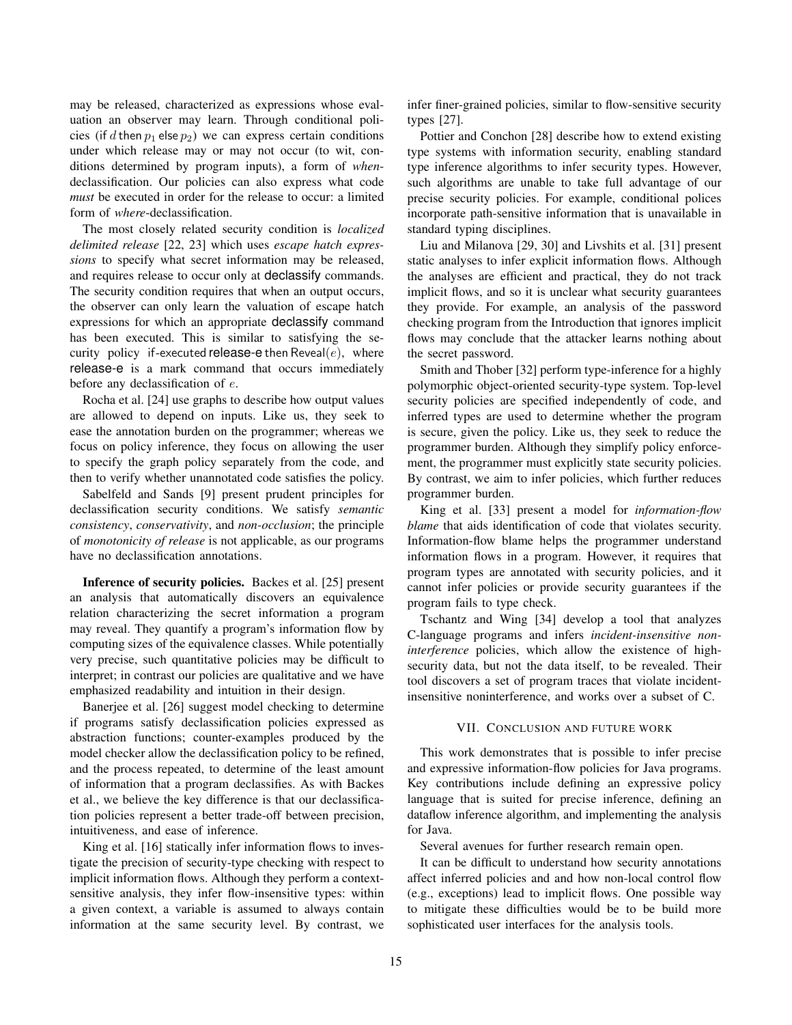may be released, characterized as expressions whose evaluation an observer may learn. Through conditional policies (if d then  $p_1$  else  $p_2$ ) we can express certain conditions under which release may or may not occur (to wit, conditions determined by program inputs), a form of *when*declassification. Our policies can also express what code *must* be executed in order for the release to occur: a limited form of *where*-declassification.

The most closely related security condition is *localized delimited release* [22, 23] which uses *escape hatch expressions* to specify what secret information may be released, and requires release to occur only at declassify commands. The security condition requires that when an output occurs, the observer can only learn the valuation of escape hatch expressions for which an appropriate declassify command has been executed. This is similar to satisfying the security policy if-executed release-e then Reveal $(e)$ , where release-e is a mark command that occurs immediately before any declassification of e.

Rocha et al. [24] use graphs to describe how output values are allowed to depend on inputs. Like us, they seek to ease the annotation burden on the programmer; whereas we focus on policy inference, they focus on allowing the user to specify the graph policy separately from the code, and then to verify whether unannotated code satisfies the policy.

Sabelfeld and Sands [9] present prudent principles for declassification security conditions. We satisfy *semantic consistency*, *conservativity*, and *non-occlusion*; the principle of *monotonicity of release* is not applicable, as our programs have no declassification annotations.

Inference of security policies. Backes et al. [25] present an analysis that automatically discovers an equivalence relation characterizing the secret information a program may reveal. They quantify a program's information flow by computing sizes of the equivalence classes. While potentially very precise, such quantitative policies may be difficult to interpret; in contrast our policies are qualitative and we have emphasized readability and intuition in their design.

Banerjee et al. [26] suggest model checking to determine if programs satisfy declassification policies expressed as abstraction functions; counter-examples produced by the model checker allow the declassification policy to be refined, and the process repeated, to determine of the least amount of information that a program declassifies. As with Backes et al., we believe the key difference is that our declassification policies represent a better trade-off between precision, intuitiveness, and ease of inference.

King et al. [16] statically infer information flows to investigate the precision of security-type checking with respect to implicit information flows. Although they perform a contextsensitive analysis, they infer flow-insensitive types: within a given context, a variable is assumed to always contain information at the same security level. By contrast, we infer finer-grained policies, similar to flow-sensitive security types [27].

Pottier and Conchon [28] describe how to extend existing type systems with information security, enabling standard type inference algorithms to infer security types. However, such algorithms are unable to take full advantage of our precise security policies. For example, conditional polices incorporate path-sensitive information that is unavailable in standard typing disciplines.

Liu and Milanova [29, 30] and Livshits et al. [31] present static analyses to infer explicit information flows. Although the analyses are efficient and practical, they do not track implicit flows, and so it is unclear what security guarantees they provide. For example, an analysis of the password checking program from the Introduction that ignores implicit flows may conclude that the attacker learns nothing about the secret password.

Smith and Thober [32] perform type-inference for a highly polymorphic object-oriented security-type system. Top-level security policies are specified independently of code, and inferred types are used to determine whether the program is secure, given the policy. Like us, they seek to reduce the programmer burden. Although they simplify policy enforcement, the programmer must explicitly state security policies. By contrast, we aim to infer policies, which further reduces programmer burden.

King et al. [33] present a model for *information-flow blame* that aids identification of code that violates security. Information-flow blame helps the programmer understand information flows in a program. However, it requires that program types are annotated with security policies, and it cannot infer policies or provide security guarantees if the program fails to type check.

Tschantz and Wing [34] develop a tool that analyzes C-language programs and infers *incident-insensitive noninterference* policies, which allow the existence of highsecurity data, but not the data itself, to be revealed. Their tool discovers a set of program traces that violate incidentinsensitive noninterference, and works over a subset of C.

### VII. CONCLUSION AND FUTURE WORK

This work demonstrates that is possible to infer precise and expressive information-flow policies for Java programs. Key contributions include defining an expressive policy language that is suited for precise inference, defining an dataflow inference algorithm, and implementing the analysis for Java.

Several avenues for further research remain open.

It can be difficult to understand how security annotations affect inferred policies and and how non-local control flow (e.g., exceptions) lead to implicit flows. One possible way to mitigate these difficulties would be to be build more sophisticated user interfaces for the analysis tools.